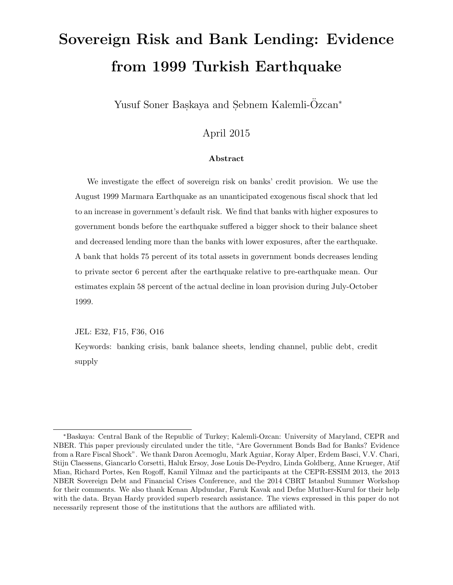# Sovereign Risk and Bank Lending: Evidence from 1999 Turkish Earthquake

Yusuf Soner Baskaya and Sebnem Kalemli-Özcan<sup>\*</sup>

#### April 2015

#### Abstract

We investigate the effect of sovereign risk on banks' credit provision. We use the August 1999 Marmara Earthquake as an unanticipated exogenous fiscal shock that led to an increase in government's default risk. We find that banks with higher exposures to government bonds before the earthquake suffered a bigger shock to their balance sheet and decreased lending more than the banks with lower exposures, after the earthquake. A bank that holds 75 percent of its total assets in government bonds decreases lending to private sector 6 percent after the earthquake relative to pre-earthquake mean. Our estimates explain 58 percent of the actual decline in loan provision during July-October 1999.

JEL: E32, F15, F36, O16

Keywords: banking crisis, bank balance sheets, lending channel, public debt, credit supply

<sup>∗</sup>Baskaya: Central Bank of the Republic of Turkey; Kalemli-Ozcan: University of Maryland, CEPR and NBER. This paper previously circulated under the title, "Are Government Bonds Bad for Banks? Evidence from a Rare Fiscal Shock". We thank Daron Acemoglu, Mark Aguiar, Koray Alper, Erdem Basci, V.V. Chari, Stijn Claessens, Giancarlo Corsetti, Haluk Ersoy, Jose Louis De-Peydro, Linda Goldberg, Anne Krueger, Atif Mian, Richard Portes, Ken Rogoff, Kamil Yilmaz and the participants at the CEPR-ESSIM 2013, the 2013 NBER Sovereign Debt and Financial Crises Conference, and the 2014 CBRT Istanbul Summer Workshop for their comments. We also thank Kenan Alpdundar, Faruk Kavak and Defne Mutluer-Kurul for their help with the data. Bryan Hardy provided superb research assistance. The views expressed in this paper do not necessarily represent those of the institutions that the authors are affiliated with.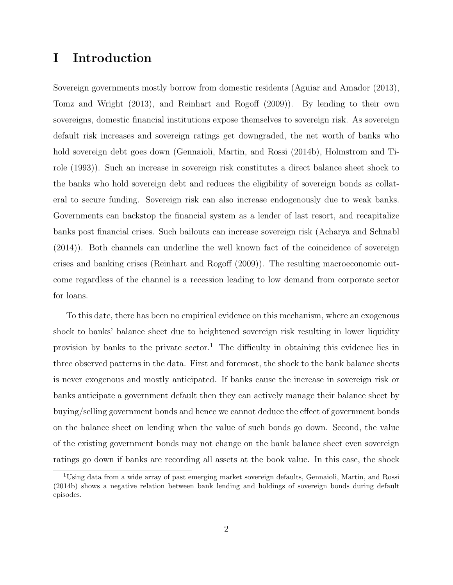# I Introduction

Sovereign governments mostly borrow from domestic residents (Aguiar and Amador (2013), Tomz and Wright (2013), and Reinhart and Rogoff (2009)). By lending to their own sovereigns, domestic financial institutions expose themselves to sovereign risk. As sovereign default risk increases and sovereign ratings get downgraded, the net worth of banks who hold sovereign debt goes down (Gennaioli, Martin, and Rossi (2014b), Holmstrom and Tirole (1993)). Such an increase in sovereign risk constitutes a direct balance sheet shock to the banks who hold sovereign debt and reduces the eligibility of sovereign bonds as collateral to secure funding. Sovereign risk can also increase endogenously due to weak banks. Governments can backstop the financial system as a lender of last resort, and recapitalize banks post financial crises. Such bailouts can increase sovereign risk (Acharya and Schnabl (2014)). Both channels can underline the well known fact of the coincidence of sovereign crises and banking crises (Reinhart and Rogoff (2009)). The resulting macroeconomic outcome regardless of the channel is a recession leading to low demand from corporate sector for loans.

To this date, there has been no empirical evidence on this mechanism, where an exogenous shock to banks' balance sheet due to heightened sovereign risk resulting in lower liquidity provision by banks to the private sector.<sup>1</sup> The difficulty in obtaining this evidence lies in three observed patterns in the data. First and foremost, the shock to the bank balance sheets is never exogenous and mostly anticipated. If banks cause the increase in sovereign risk or banks anticipate a government default then they can actively manage their balance sheet by buying/selling government bonds and hence we cannot deduce the effect of government bonds on the balance sheet on lending when the value of such bonds go down. Second, the value of the existing government bonds may not change on the bank balance sheet even sovereign ratings go down if banks are recording all assets at the book value. In this case, the shock

<sup>1</sup>Using data from a wide array of past emerging market sovereign defaults, Gennaioli, Martin, and Rossi (2014b) shows a negative relation between bank lending and holdings of sovereign bonds during default episodes.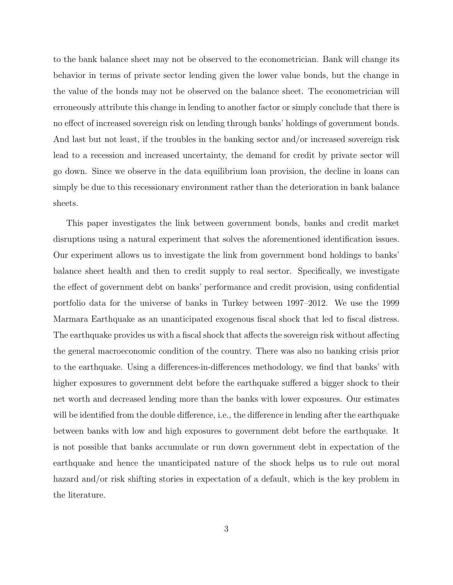to the bank balance sheet may not be observed to the econometrician. Bank will change its behavior in terms of private sector lending given the lower value bonds, but the change in the value of the bonds may not be observed on the balance sheet. The econometrician will erroneously attribute this change in lending to another factor or simply conclude that there is no effect of increased sovereign risk on lending through banks' holdings of government bonds. And last but not least, if the troubles in the banking sector and/or increased sovereign risk lead to a recession and increased uncertainty, the demand for credit by private sector will go down. Since we observe in the data equilibrium loan provision, the decline in loans can simply be due to this recessionary environment rather than the deterioration in bank balance sheets.

This paper investigates the link between government bonds, banks and credit market disruptions using a natural experiment that solves the aforementioned identification issues. Our experiment allows us to investigate the link from government bond holdings to banks' balance sheet health and then to credit supply to real sector. Specifically, we investigate the effect of government debt on banks' performance and credit provision, using confidential portfolio data for the universe of banks in Turkey between 1997–2012. We use the 1999 Marmara Earthquake as an unanticipated exogenous fiscal shock that led to fiscal distress. The earthquake provides us with a fiscal shock that affects the sovereign risk without affecting the general macroeconomic condition of the country. There was also no banking crisis prior to the earthquake. Using a differences-in-differences methodology, we find that banks' with higher exposures to government debt before the earthquake suffered a bigger shock to their net worth and decreased lending more than the banks with lower exposures. Our estimates will be identified from the double difference, i.e., the difference in lending after the earthquake between banks with low and high exposures to government debt before the earthquake. It is not possible that banks accumulate or run down government debt in expectation of the earthquake and hence the unanticipated nature of the shock helps us to rule out moral hazard and/or risk shifting stories in expectation of a default, which is the key problem in the literature.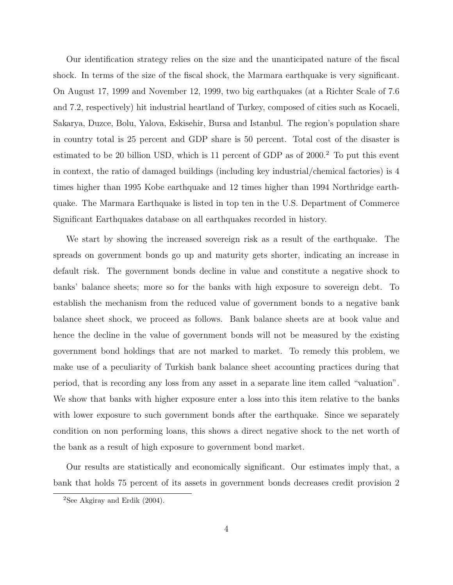Our identification strategy relies on the size and the unanticipated nature of the fiscal shock. In terms of the size of the fiscal shock, the Marmara earthquake is very significant. On August 17, 1999 and November 12, 1999, two big earthquakes (at a Richter Scale of 7.6 and 7.2, respectively) hit industrial heartland of Turkey, composed of cities such as Kocaeli, Sakarya, Duzce, Bolu, Yalova, Eskisehir, Bursa and Istanbul. The region's population share in country total is 25 percent and GDP share is 50 percent. Total cost of the disaster is estimated to be 20 billion USD, which is 11 percent of GDP as of  $2000<sup>2</sup>$  To put this event in context, the ratio of damaged buildings (including key industrial/chemical factories) is 4 times higher than 1995 Kobe earthquake and 12 times higher than 1994 Northridge earthquake. The Marmara Earthquake is listed in top ten in the U.S. Department of Commerce Significant Earthquakes database on all earthquakes recorded in history.

We start by showing the increased sovereign risk as a result of the earthquake. The spreads on government bonds go up and maturity gets shorter, indicating an increase in default risk. The government bonds decline in value and constitute a negative shock to banks' balance sheets; more so for the banks with high exposure to sovereign debt. To establish the mechanism from the reduced value of government bonds to a negative bank balance sheet shock, we proceed as follows. Bank balance sheets are at book value and hence the decline in the value of government bonds will not be measured by the existing government bond holdings that are not marked to market. To remedy this problem, we make use of a peculiarity of Turkish bank balance sheet accounting practices during that period, that is recording any loss from any asset in a separate line item called "valuation". We show that banks with higher exposure enter a loss into this item relative to the banks with lower exposure to such government bonds after the earthquake. Since we separately condition on non performing loans, this shows a direct negative shock to the net worth of the bank as a result of high exposure to government bond market.

Our results are statistically and economically significant. Our estimates imply that, a bank that holds 75 percent of its assets in government bonds decreases credit provision 2

<sup>&</sup>lt;sup>2</sup>See Akgiray and Erdik  $(2004)$ .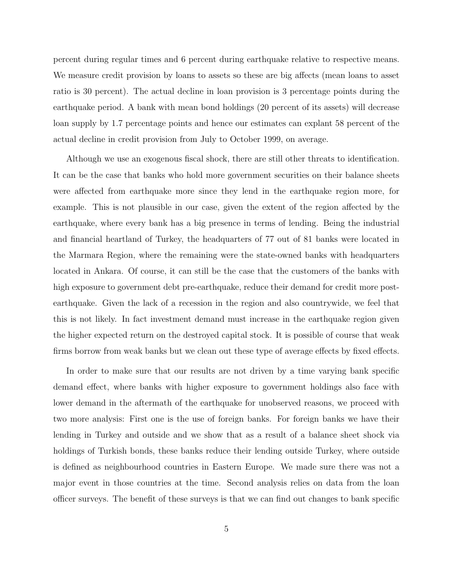percent during regular times and 6 percent during earthquake relative to respective means. We measure credit provision by loans to assets so these are big affects (mean loans to asset ratio is 30 percent). The actual decline in loan provision is 3 percentage points during the earthquake period. A bank with mean bond holdings (20 percent of its assets) will decrease loan supply by 1.7 percentage points and hence our estimates can explant 58 percent of the actual decline in credit provision from July to October 1999, on average.

Although we use an exogenous fiscal shock, there are still other threats to identification. It can be the case that banks who hold more government securities on their balance sheets were affected from earthquake more since they lend in the earthquake region more, for example. This is not plausible in our case, given the extent of the region affected by the earthquake, where every bank has a big presence in terms of lending. Being the industrial and financial heartland of Turkey, the headquarters of 77 out of 81 banks were located in the Marmara Region, where the remaining were the state-owned banks with headquarters located in Ankara. Of course, it can still be the case that the customers of the banks with high exposure to government debt pre-earthquake, reduce their demand for credit more postearthquake. Given the lack of a recession in the region and also countrywide, we feel that this is not likely. In fact investment demand must increase in the earthquake region given the higher expected return on the destroyed capital stock. It is possible of course that weak firms borrow from weak banks but we clean out these type of average effects by fixed effects.

In order to make sure that our results are not driven by a time varying bank specific demand effect, where banks with higher exposure to government holdings also face with lower demand in the aftermath of the earthquake for unobserved reasons, we proceed with two more analysis: First one is the use of foreign banks. For foreign banks we have their lending in Turkey and outside and we show that as a result of a balance sheet shock via holdings of Turkish bonds, these banks reduce their lending outside Turkey, where outside is defined as neighbourhood countries in Eastern Europe. We made sure there was not a major event in those countries at the time. Second analysis relies on data from the loan officer surveys. The benefit of these surveys is that we can find out changes to bank specific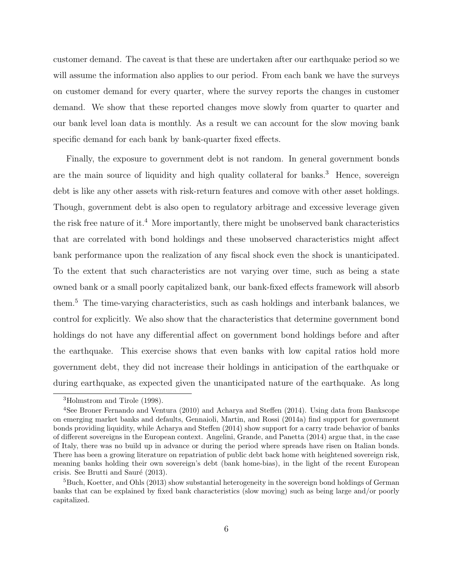customer demand. The caveat is that these are undertaken after our earthquake period so we will assume the information also applies to our period. From each bank we have the surveys on customer demand for every quarter, where the survey reports the changes in customer demand. We show that these reported changes move slowly from quarter to quarter and our bank level loan data is monthly. As a result we can account for the slow moving bank specific demand for each bank by bank-quarter fixed effects.

Finally, the exposure to government debt is not random. In general government bonds are the main source of liquidity and high quality collateral for banks.<sup>3</sup> Hence, sovereign debt is like any other assets with risk-return features and comove with other asset holdings. Though, government debt is also open to regulatory arbitrage and excessive leverage given the risk free nature of it.<sup>4</sup> More importantly, there might be unobserved bank characteristics that are correlated with bond holdings and these unobserved characteristics might affect bank performance upon the realization of any fiscal shock even the shock is unanticipated. To the extent that such characteristics are not varying over time, such as being a state owned bank or a small poorly capitalized bank, our bank-fixed effects framework will absorb them.<sup>5</sup> The time-varying characteristics, such as cash holdings and interbank balances, we control for explicitly. We also show that the characteristics that determine government bond holdings do not have any differential affect on government bond holdings before and after the earthquake. This exercise shows that even banks with low capital ratios hold more government debt, they did not increase their holdings in anticipation of the earthquake or during earthquake, as expected given the unanticipated nature of the earthquake. As long

<sup>3</sup>Holmstrom and Tirole (1998).

<sup>4</sup>See Broner Fernando and Ventura (2010) and Acharya and Steffen (2014). Using data from Bankscope on emerging market banks and defaults, Gennaioli, Martin, and Rossi (2014a) find support for government bonds providing liquidity, while Acharya and Steffen (2014) show support for a carry trade behavior of banks of different sovereigns in the European context. Angelini, Grande, and Panetta (2014) argue that, in the case of Italy, there was no build up in advance or during the period where spreads have risen on Italian bonds. There has been a growing literature on repatriation of public debt back home with heightened sovereign risk, meaning banks holding their own sovereign's debt (bank home-bias), in the light of the recent European crisis. See Brutti and Sauré (2013).

<sup>&</sup>lt;sup>5</sup>Buch, Koetter, and Ohls (2013) show substantial heterogeneity in the sovereign bond holdings of German banks that can be explained by fixed bank characteristics (slow moving) such as being large and/or poorly capitalized.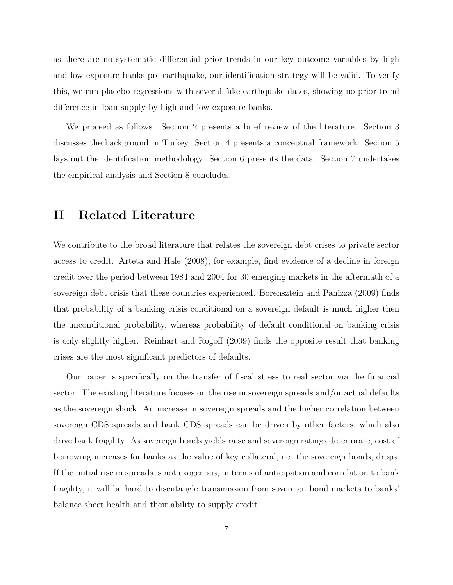as there are no systematic differential prior trends in our key outcome variables by high and low exposure banks pre-earthquake, our identification strategy will be valid. To verify this, we run placebo regressions with several fake earthquake dates, showing no prior trend difference in loan supply by high and low exposure banks.

We proceed as follows. Section 2 presents a brief review of the literature. Section 3 discusses the background in Turkey. Section 4 presents a conceptual framework. Section 5 lays out the identification methodology. Section 6 presents the data. Section 7 undertakes the empirical analysis and Section 8 concludes.

#### II Related Literature

We contribute to the broad literature that relates the sovereign debt crises to private sector access to credit. Arteta and Hale (2008), for example, find evidence of a decline in foreign credit over the period between 1984 and 2004 for 30 emerging markets in the aftermath of a sovereign debt crisis that these countries experienced. Borensztein and Panizza (2009) finds that probability of a banking crisis conditional on a sovereign default is much higher then the unconditional probability, whereas probability of default conditional on banking crisis is only slightly higher. Reinhart and Rogoff (2009) finds the opposite result that banking crises are the most significant predictors of defaults.

Our paper is specifically on the transfer of fiscal stress to real sector via the financial sector. The existing literature focuses on the rise in sovereign spreads and/or actual defaults as the sovereign shock. An increase in sovereign spreads and the higher correlation between sovereign CDS spreads and bank CDS spreads can be driven by other factors, which also drive bank fragility. As sovereign bonds yields raise and sovereign ratings deteriorate, cost of borrowing increases for banks as the value of key collateral, i.e. the sovereign bonds, drops. If the initial rise in spreads is not exogenous, in terms of anticipation and correlation to bank fragility, it will be hard to disentangle transmission from sovereign bond markets to banks' balance sheet health and their ability to supply credit.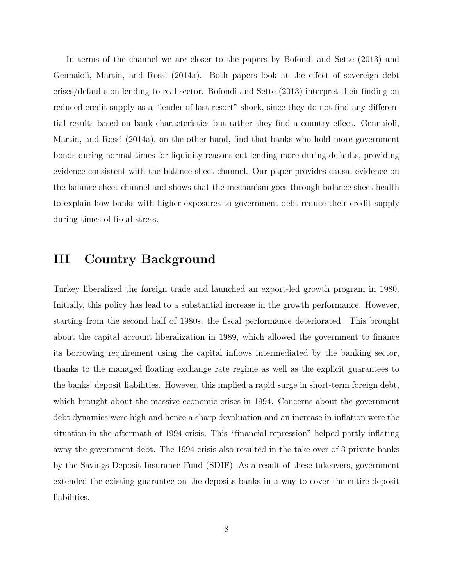In terms of the channel we are closer to the papers by Bofondi and Sette (2013) and Gennaioli, Martin, and Rossi (2014a). Both papers look at the effect of sovereign debt crises/defaults on lending to real sector. Bofondi and Sette (2013) interpret their finding on reduced credit supply as a "lender-of-last-resort" shock, since they do not find any differential results based on bank characteristics but rather they find a country effect. Gennaioli, Martin, and Rossi (2014a), on the other hand, find that banks who hold more government bonds during normal times for liquidity reasons cut lending more during defaults, providing evidence consistent with the balance sheet channel. Our paper provides causal evidence on the balance sheet channel and shows that the mechanism goes through balance sheet health to explain how banks with higher exposures to government debt reduce their credit supply during times of fiscal stress.

# III Country Background

Turkey liberalized the foreign trade and launched an export-led growth program in 1980. Initially, this policy has lead to a substantial increase in the growth performance. However, starting from the second half of 1980s, the fiscal performance deteriorated. This brought about the capital account liberalization in 1989, which allowed the government to finance its borrowing requirement using the capital inflows intermediated by the banking sector, thanks to the managed floating exchange rate regime as well as the explicit guarantees to the banks' deposit liabilities. However, this implied a rapid surge in short-term foreign debt, which brought about the massive economic crises in 1994. Concerns about the government debt dynamics were high and hence a sharp devaluation and an increase in inflation were the situation in the aftermath of 1994 crisis. This "financial repression" helped partly inflating away the government debt. The 1994 crisis also resulted in the take-over of 3 private banks by the Savings Deposit Insurance Fund (SDIF). As a result of these takeovers, government extended the existing guarantee on the deposits banks in a way to cover the entire deposit liabilities.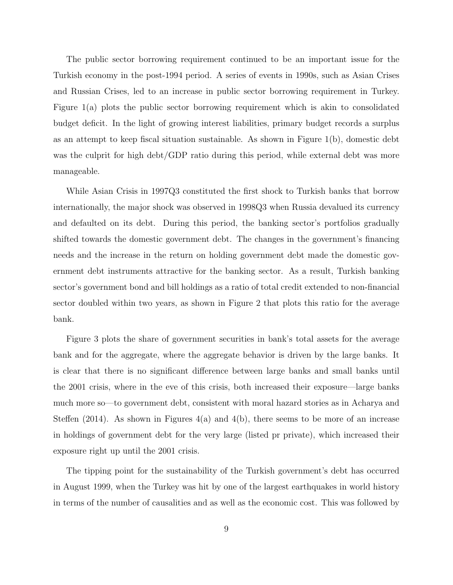The public sector borrowing requirement continued to be an important issue for the Turkish economy in the post-1994 period. A series of events in 1990s, such as Asian Crises and Russian Crises, led to an increase in public sector borrowing requirement in Turkey. Figure 1(a) plots the public sector borrowing requirement which is akin to consolidated budget deficit. In the light of growing interest liabilities, primary budget records a surplus as an attempt to keep fiscal situation sustainable. As shown in Figure 1(b), domestic debt was the culprit for high debt/GDP ratio during this period, while external debt was more manageable.

While Asian Crisis in 1997Q3 constituted the first shock to Turkish banks that borrow internationally, the major shock was observed in 1998Q3 when Russia devalued its currency and defaulted on its debt. During this period, the banking sector's portfolios gradually shifted towards the domestic government debt. The changes in the government's financing needs and the increase in the return on holding government debt made the domestic government debt instruments attractive for the banking sector. As a result, Turkish banking sector's government bond and bill holdings as a ratio of total credit extended to non-financial sector doubled within two years, as shown in Figure 2 that plots this ratio for the average bank.

Figure 3 plots the share of government securities in bank's total assets for the average bank and for the aggregate, where the aggregate behavior is driven by the large banks. It is clear that there is no significant difference between large banks and small banks until the 2001 crisis, where in the eve of this crisis, both increased their exposure—large banks much more so—to government debt, consistent with moral hazard stories as in Acharya and Steffen (2014). As shown in Figures  $4(a)$  and  $4(b)$ , there seems to be more of an increase in holdings of government debt for the very large (listed pr private), which increased their exposure right up until the 2001 crisis.

The tipping point for the sustainability of the Turkish government's debt has occurred in August 1999, when the Turkey was hit by one of the largest earthquakes in world history in terms of the number of causalities and as well as the economic cost. This was followed by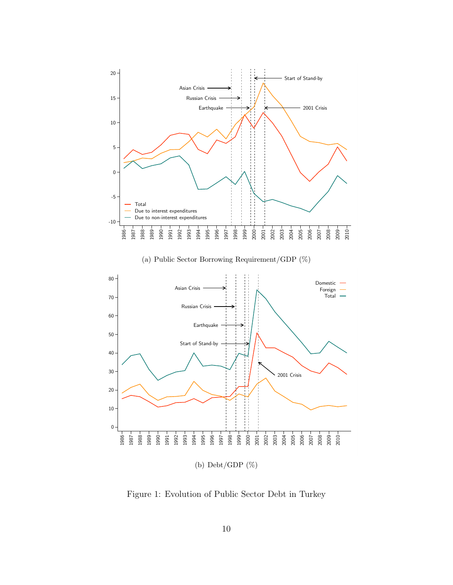

(a) Public Sector Borrowing Requirement/GDP (%)



Figure 1: Evolution of Public Sector Debt in Turkey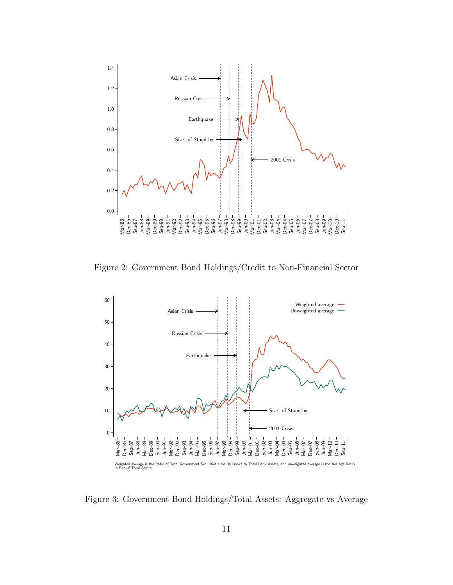

Figure 2: Government Bond Holdings/Credit to Non-Financial Sector



Figure 3: Government Bond Holdings/Total Assets: Aggregate vs Average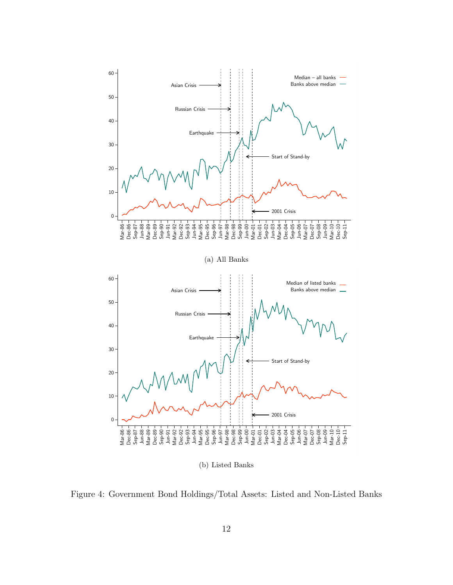

(b) Listed Banks

Figure 4: Government Bond Holdings/Total Assets: Listed and Non-Listed Banks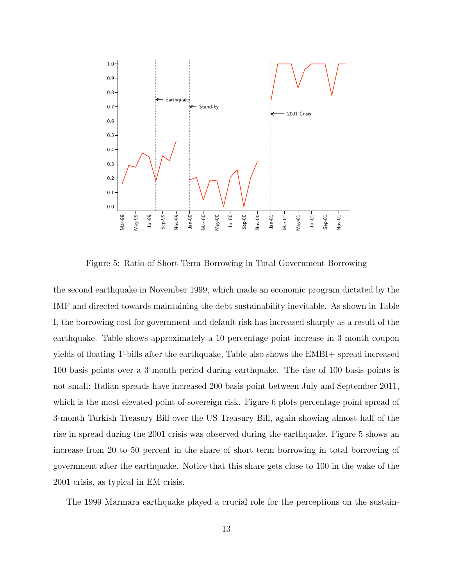

Figure 5: Ratio of Short Term Borrowing in Total Government Borrowing

the second earthquake in November 1999, which made an economic program dictated by the IMF and directed towards maintaining the debt sustainability inevitable. As shown in Table I, the borrowing cost for government and default risk has increased sharply as a result of the earthquake. Table shows approximately a 10 percentage point increase in 3 month coupon yields of floating T-bills after the earthquake, Table also shows the EMBI+ spread increased 100 basis points over a 3 month period during earthquake. The rise of 100 basis points is not small: Italian spreads have increased 200 basis point between July and September 2011, which is the most elevated point of sovereign risk. Figure 6 plots percentage point spread of 3-month Turkish Treasury Bill over the US Treasury Bill, again showing almost half of the rise in spread during the 2001 crisis was observed during the earthquake. Figure 5 shows an increase from 20 to 50 percent in the share of short term borrowing in total borrowing of government after the earthquake. Notice that this share gets close to 100 in the wake of the 2001 crisis, as typical in EM crisis.

The 1999 Marmara earthquake played a crucial role for the perceptions on the sustain-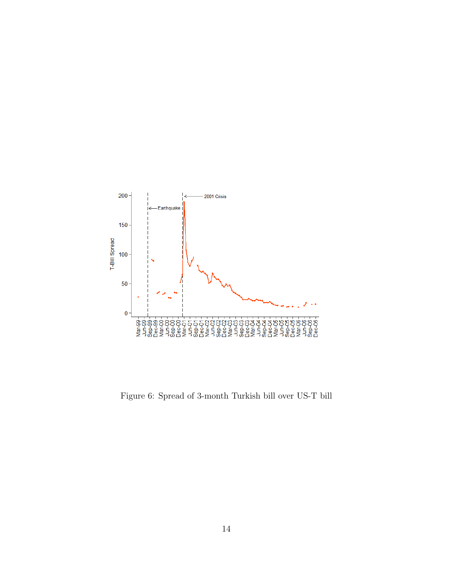

Figure 6: Spread of 3-month Turkish bill over US-T bill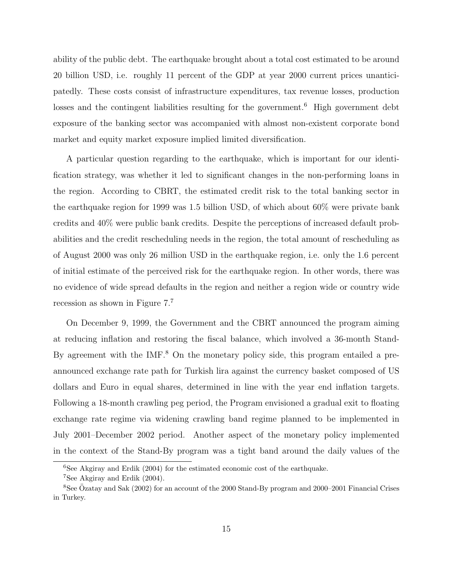ability of the public debt. The earthquake brought about a total cost estimated to be around 20 billion USD, i.e. roughly 11 percent of the GDP at year 2000 current prices unanticipatedly. These costs consist of infrastructure expenditures, tax revenue losses, production losses and the contingent liabilities resulting for the government.<sup>6</sup> High government debt exposure of the banking sector was accompanied with almost non-existent corporate bond market and equity market exposure implied limited diversification.

A particular question regarding to the earthquake, which is important for our identification strategy, was whether it led to significant changes in the non-performing loans in the region. According to CBRT, the estimated credit risk to the total banking sector in the earthquake region for 1999 was 1.5 billion USD, of which about 60% were private bank credits and 40% were public bank credits. Despite the perceptions of increased default probabilities and the credit rescheduling needs in the region, the total amount of rescheduling as of August 2000 was only 26 million USD in the earthquake region, i.e. only the 1.6 percent of initial estimate of the perceived risk for the earthquake region. In other words, there was no evidence of wide spread defaults in the region and neither a region wide or country wide recession as shown in Figure 7.<sup>7</sup>

On December 9, 1999, the Government and the CBRT announced the program aiming at reducing inflation and restoring the fiscal balance, which involved a 36-month Stand-By agreement with the IMF.<sup>8</sup> On the monetary policy side, this program entailed a preannounced exchange rate path for Turkish lira against the currency basket composed of US dollars and Euro in equal shares, determined in line with the year end inflation targets. Following a 18-month crawling peg period, the Program envisioned a gradual exit to floating exchange rate regime via widening crawling band regime planned to be implemented in July 2001–December 2002 period. Another aspect of the monetary policy implemented in the context of the Stand-By program was a tight band around the daily values of the

 $6$ See Akgiray and Erdik (2004) for the estimated economic cost of the earthquake.

<sup>7</sup>See Akgiray and Erdik (2004).

<sup>8</sup>See Ozatay and Sak (2002) for an account of the 2000 Stand-By program and 2000–2001 Financial Crises ¨ in Turkey.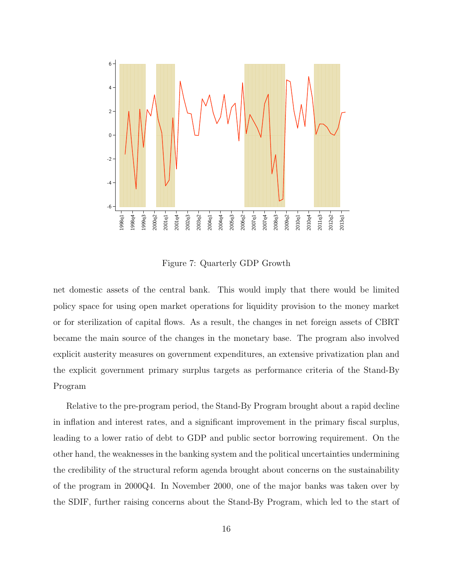

Figure 7: Quarterly GDP Growth

net domestic assets of the central bank. This would imply that there would be limited policy space for using open market operations for liquidity provision to the money market or for sterilization of capital flows. As a result, the changes in net foreign assets of CBRT became the main source of the changes in the monetary base. The program also involved explicit austerity measures on government expenditures, an extensive privatization plan and the explicit government primary surplus targets as performance criteria of the Stand-By Program

Relative to the pre-program period, the Stand-By Program brought about a rapid decline in inflation and interest rates, and a significant improvement in the primary fiscal surplus, leading to a lower ratio of debt to GDP and public sector borrowing requirement. On the other hand, the weaknesses in the banking system and the political uncertainties undermining the credibility of the structural reform agenda brought about concerns on the sustainability of the program in 2000Q4. In November 2000, one of the major banks was taken over by the SDIF, further raising concerns about the Stand-By Program, which led to the start of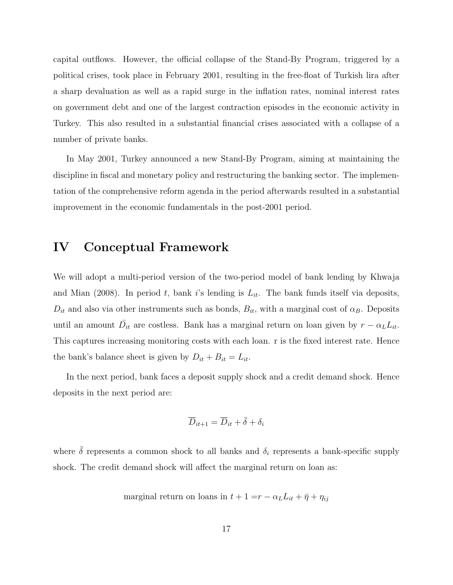capital outflows. However, the official collapse of the Stand-By Program, triggered by a political crises, took place in February 2001, resulting in the free-float of Turkish lira after a sharp devaluation as well as a rapid surge in the inflation rates, nominal interest rates on government debt and one of the largest contraction episodes in the economic activity in Turkey. This also resulted in a substantial financial crises associated with a collapse of a number of private banks.

In May 2001, Turkey announced a new Stand-By Program, aiming at maintaining the discipline in fiscal and monetary policy and restructuring the banking sector. The implementation of the comprehensive reform agenda in the period afterwards resulted in a substantial improvement in the economic fundamentals in the post-2001 period.

#### IV Conceptual Framework

We will adopt a multi-period version of the two-period model of bank lending by Khwaja and Mian (2008). In period t, bank i's lending is  $L_{it}$ . The bank funds itself via deposits,  $D_{it}$  and also via other instruments such as bonds,  $B_{it}$ , with a marginal cost of  $\alpha_B$ . Deposits until an amount  $\overline{D}_{it}$  are costless. Bank has a marginal return on loan given by  $r - \alpha_L L_{it}$ . This captures increasing monitoring costs with each loan. r is the fixed interest rate. Hence the bank's balance sheet is given by  $D_{it} + B_{it} = L_{it}$ .

In the next period, bank faces a deposit supply shock and a credit demand shock. Hence deposits in the next period are:

$$
\overline{D}_{it+1} = \overline{D}_{it} + \overline{\delta} + \delta_i
$$

where  $\bar{\delta}$  represents a common shock to all banks and  $\delta_i$  represents a bank-specific supply shock. The credit demand shock will affect the marginal return on loan as:

marginal return on loans in  $t + 1 = r - \alpha_L L_{it} + \bar{\eta} + \eta_{ij}$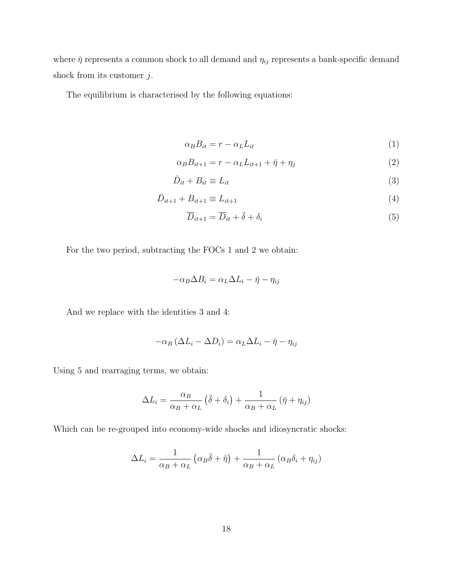where  $\bar{\eta}$  represents a common shock to all demand and  $\eta_{ij}$  represents a bank-specific demand shock from its customer  $j$ .

The equilibrium is characterised by the following equations:

$$
\alpha_B B_{it} = r - \alpha_L L_{it} \tag{1}
$$

$$
\alpha_B B_{it+1} = r - \alpha_L L_{it+1} + \bar{\eta} + \eta_j \tag{2}
$$

$$
\bar{D}_{it} + B_{it} \equiv L_{it} \tag{3}
$$

$$
\bar{D}_{it+1} + B_{it+1} \equiv L_{it+1}
$$
\n(4)

$$
\overline{D}_{it+1} = \overline{D}_{it} + \overline{\delta} + \delta_i \tag{5}
$$

For the two period, subtracting the FOCs 1 and 2 we obtain:

$$
-\alpha_B \Delta B_i = \alpha_L \Delta L_i - \bar{\eta} - \eta_{ij}
$$

And we replace with the identities 3 and 4:

$$
-\alpha_B (\Delta L_i - \Delta D_i) = \alpha_L \Delta L_i - \bar{\eta} - \eta_{ij}
$$

Using 5 and rearraging terms, we obtain:

$$
\Delta L_i = \frac{\alpha_B}{\alpha_B + \alpha_L} (\bar{\delta} + \delta_i) + \frac{1}{\alpha_B + \alpha_L} (\bar{\eta} + \eta_{ij})
$$

Which can be re-grouped into economy-wide shocks and idiosyncratic shocks:

$$
\Delta L_i = \frac{1}{\alpha_B + \alpha_L} \left( \alpha_B \overline{\delta} + \overline{\eta} \right) + \frac{1}{\alpha_B + \alpha_L} \left( \alpha_B \delta_i + \eta_{ij} \right)
$$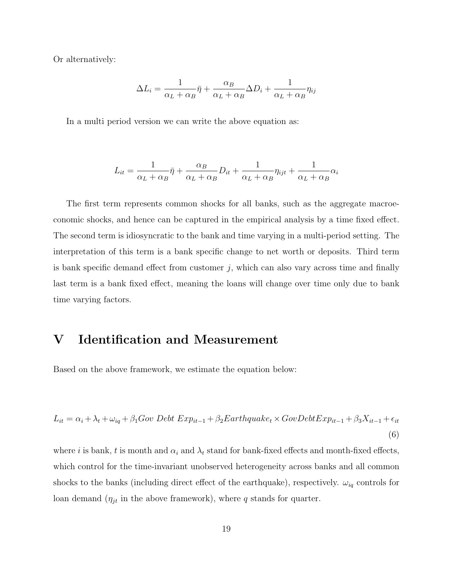Or alternatively:

$$
\Delta L_i = \frac{1}{\alpha_L + \alpha_B} \bar{\eta} + \frac{\alpha_B}{\alpha_L + \alpha_B} \Delta D_i + \frac{1}{\alpha_L + \alpha_B} \eta_{ij}
$$

In a multi period version we can write the above equation as:

$$
L_{it} = \frac{1}{\alpha_L + \alpha_B} \bar{\eta} + \frac{\alpha_B}{\alpha_L + \alpha_B} D_{it} + \frac{1}{\alpha_L + \alpha_B} \eta_{ijt} + \frac{1}{\alpha_L + \alpha_B} \alpha_i
$$

The first term represents common shocks for all banks, such as the aggregate macroeconomic shocks, and hence can be captured in the empirical analysis by a time fixed effect. The second term is idiosyncratic to the bank and time varying in a multi-period setting. The interpretation of this term is a bank specific change to net worth or deposits. Third term is bank specific demand effect from customer  $j$ , which can also vary across time and finally last term is a bank fixed effect, meaning the loans will change over time only due to bank time varying factors.

# V Identification and Measurement

Based on the above framework, we estimate the equation below:

$$
L_{it} = \alpha_i + \lambda_t + \omega_{iq} + \beta_1 Gov \tDebt \tExp_{it-1} + \beta_2 Earthquake_t \times Gov \tDebt \tExp_{it-1} + \beta_3 X_{it-1} + \epsilon_{it}
$$
\n
$$
\tag{6}
$$

where i is bank, t is month and  $\alpha_i$  and  $\lambda_t$  stand for bank-fixed effects and month-fixed effects, which control for the time-invariant unobserved heterogeneity across banks and all common shocks to the banks (including direct effect of the earthquake), respectively.  $\omega_{iq}$  controls for loan demand  $(\eta_{jt}$  in the above framework), where q stands for quarter.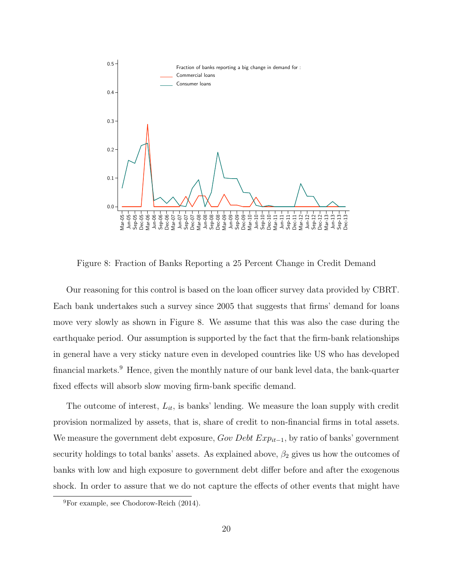

Figure 8: Fraction of Banks Reporting a 25 Percent Change in Credit Demand

Our reasoning for this control is based on the loan officer survey data provided by CBRT. Each bank undertakes such a survey since 2005 that suggests that firms' demand for loans move very slowly as shown in Figure 8. We assume that this was also the case during the earthquake period. Our assumption is supported by the fact that the firm-bank relationships in general have a very sticky nature even in developed countries like US who has developed financial markets.<sup>9</sup> Hence, given the monthly nature of our bank level data, the bank-quarter fixed effects will absorb slow moving firm-bank specific demand.

The outcome of interest,  $L_{it}$ , is banks' lending. We measure the loan supply with credit provision normalized by assets, that is, share of credit to non-financial firms in total assets. We measure the government debt exposure,  $Gov \; Debt \; Exp_{it-1}$ , by ratio of banks' government security holdings to total banks' assets. As explained above,  $\beta_2$  gives us how the outcomes of banks with low and high exposure to government debt differ before and after the exogenous shock. In order to assure that we do not capture the effects of other events that might have

<sup>9</sup>For example, see Chodorow-Reich (2014).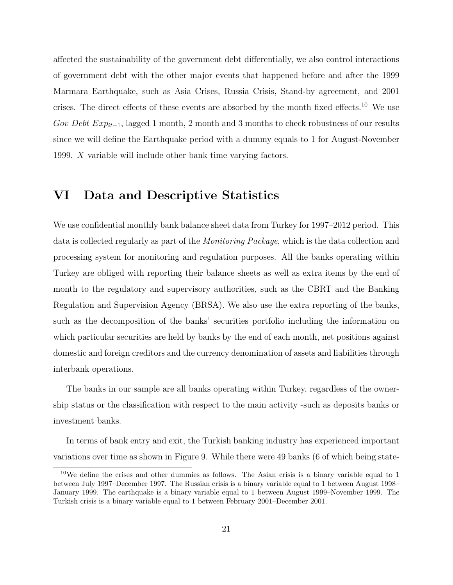affected the sustainability of the government debt differentially, we also control interactions of government debt with the other major events that happened before and after the 1999 Marmara Earthquake, such as Asia Crises, Russia Crisis, Stand-by agreement, and 2001 crises. The direct effects of these events are absorbed by the month fixed effects.<sup>10</sup> We use Gov Debt  $Exp_{it-1}$ , lagged 1 month, 2 month and 3 months to check robustness of our results since we will define the Earthquake period with a dummy equals to 1 for August-November 1999. X variable will include other bank time varying factors.

### VI Data and Descriptive Statistics

We use confidential monthly bank balance sheet data from Turkey for 1997–2012 period. This data is collected regularly as part of the Monitoring Package, which is the data collection and processing system for monitoring and regulation purposes. All the banks operating within Turkey are obliged with reporting their balance sheets as well as extra items by the end of month to the regulatory and supervisory authorities, such as the CBRT and the Banking Regulation and Supervision Agency (BRSA). We also use the extra reporting of the banks, such as the decomposition of the banks' securities portfolio including the information on which particular securities are held by banks by the end of each month, net positions against domestic and foreign creditors and the currency denomination of assets and liabilities through interbank operations.

The banks in our sample are all banks operating within Turkey, regardless of the ownership status or the classification with respect to the main activity -such as deposits banks or investment banks.

In terms of bank entry and exit, the Turkish banking industry has experienced important variations over time as shown in Figure 9. While there were 49 banks (6 of which being state-

 $10$ We define the crises and other dummies as follows. The Asian crisis is a binary variable equal to 1 between July 1997–December 1997. The Russian crisis is a binary variable equal to 1 between August 1998– January 1999. The earthquake is a binary variable equal to 1 between August 1999–November 1999. The Turkish crisis is a binary variable equal to 1 between February 2001–December 2001.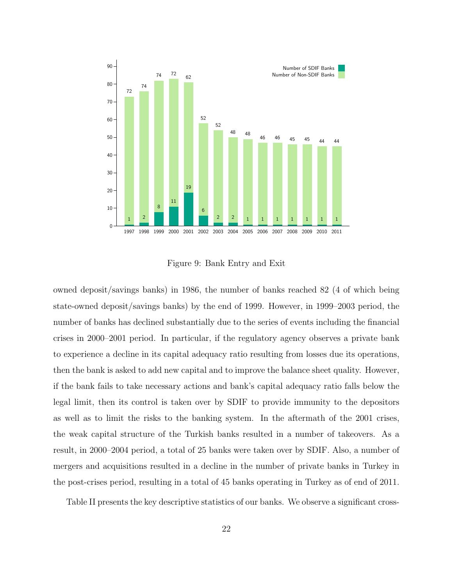

Figure 9: Bank Entry and Exit

owned deposit/savings banks) in 1986, the number of banks reached 82 (4 of which being state-owned deposit/savings banks) by the end of 1999. However, in 1999–2003 period, the number of banks has declined substantially due to the series of events including the financial crises in 2000–2001 period. In particular, if the regulatory agency observes a private bank to experience a decline in its capital adequacy ratio resulting from losses due its operations, then the bank is asked to add new capital and to improve the balance sheet quality. However, if the bank fails to take necessary actions and bank's capital adequacy ratio falls below the legal limit, then its control is taken over by SDIF to provide immunity to the depositors as well as to limit the risks to the banking system. In the aftermath of the 2001 crises, the weak capital structure of the Turkish banks resulted in a number of takeovers. As a result, in 2000–2004 period, a total of 25 banks were taken over by SDIF. Also, a number of mergers and acquisitions resulted in a decline in the number of private banks in Turkey in the post-crises period, resulting in a total of 45 banks operating in Turkey as of end of 2011.

Table II presents the key descriptive statistics of our banks. We observe a significant cross-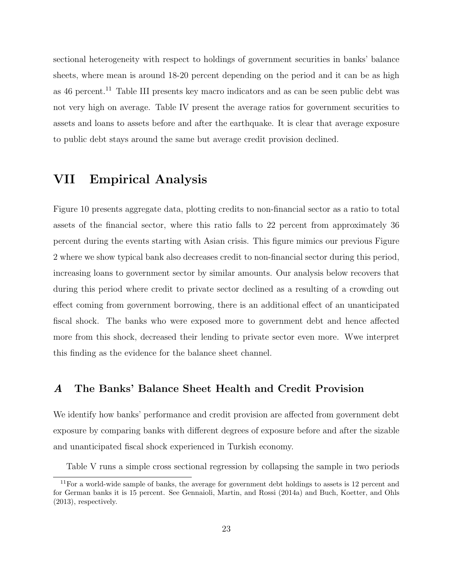sectional heterogeneity with respect to holdings of government securities in banks' balance sheets, where mean is around 18-20 percent depending on the period and it can be as high as 46 percent.<sup>11</sup> Table III presents key macro indicators and as can be seen public debt was not very high on average. Table IV present the average ratios for government securities to assets and loans to assets before and after the earthquake. It is clear that average exposure to public debt stays around the same but average credit provision declined.

# VII Empirical Analysis

Figure 10 presents aggregate data, plotting credits to non-financial sector as a ratio to total assets of the financial sector, where this ratio falls to 22 percent from approximately 36 percent during the events starting with Asian crisis. This figure mimics our previous Figure 2 where we show typical bank also decreases credit to non-financial sector during this period, increasing loans to government sector by similar amounts. Our analysis below recovers that during this period where credit to private sector declined as a resulting of a crowding out effect coming from government borrowing, there is an additional effect of an unanticipated fiscal shock. The banks who were exposed more to government debt and hence affected more from this shock, decreased their lending to private sector even more. Wwe interpret this finding as the evidence for the balance sheet channel.

#### A The Banks' Balance Sheet Health and Credit Provision

We identify how banks' performance and credit provision are affected from government debt exposure by comparing banks with different degrees of exposure before and after the sizable and unanticipated fiscal shock experienced in Turkish economy.

Table V runs a simple cross sectional regression by collapsing the sample in two periods

<sup>&</sup>lt;sup>11</sup>For a world-wide sample of banks, the average for government debt holdings to assets is 12 percent and for German banks it is 15 percent. See Gennaioli, Martin, and Rossi (2014a) and Buch, Koetter, and Ohls (2013), respectively.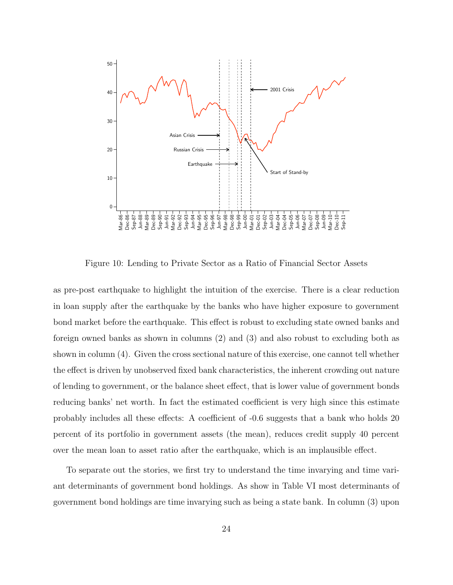

Figure 10: Lending to Private Sector as a Ratio of Financial Sector Assets

as pre-post earthquake to highlight the intuition of the exercise. There is a clear reduction in loan supply after the earthquake by the banks who have higher exposure to government bond market before the earthquake. This effect is robust to excluding state owned banks and foreign owned banks as shown in columns (2) and (3) and also robust to excluding both as shown in column (4). Given the cross sectional nature of this exercise, one cannot tell whether the effect is driven by unobserved fixed bank characteristics, the inherent crowding out nature of lending to government, or the balance sheet effect, that is lower value of government bonds reducing banks' net worth. In fact the estimated coefficient is very high since this estimate probably includes all these effects: A coefficient of -0.6 suggests that a bank who holds 20 percent of its portfolio in government assets (the mean), reduces credit supply 40 percent over the mean loan to asset ratio after the earthquake, which is an implausible effect.

To separate out the stories, we first try to understand the time invarying and time variant determinants of government bond holdings. As show in Table VI most determinants of government bond holdings are time invarying such as being a state bank. In column (3) upon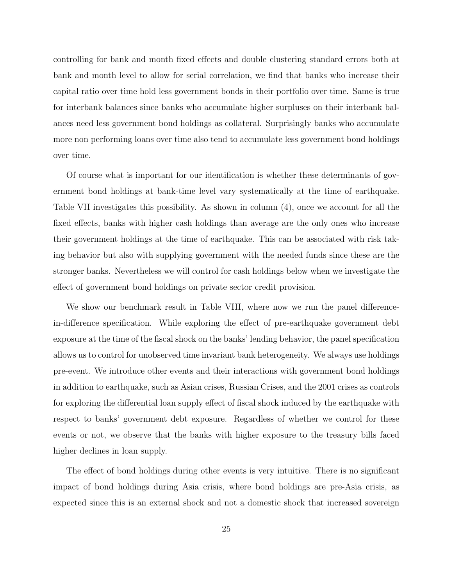controlling for bank and month fixed effects and double clustering standard errors both at bank and month level to allow for serial correlation, we find that banks who increase their capital ratio over time hold less government bonds in their portfolio over time. Same is true for interbank balances since banks who accumulate higher surpluses on their interbank balances need less government bond holdings as collateral. Surprisingly banks who accumulate more non performing loans over time also tend to accumulate less government bond holdings over time.

Of course what is important for our identification is whether these determinants of government bond holdings at bank-time level vary systematically at the time of earthquake. Table VII investigates this possibility. As shown in column (4), once we account for all the fixed effects, banks with higher cash holdings than average are the only ones who increase their government holdings at the time of earthquake. This can be associated with risk taking behavior but also with supplying government with the needed funds since these are the stronger banks. Nevertheless we will control for cash holdings below when we investigate the effect of government bond holdings on private sector credit provision.

We show our benchmark result in Table VIII, where now we run the panel differencein-difference specification. While exploring the effect of pre-earthquake government debt exposure at the time of the fiscal shock on the banks' lending behavior, the panel specification allows us to control for unobserved time invariant bank heterogeneity. We always use holdings pre-event. We introduce other events and their interactions with government bond holdings in addition to earthquake, such as Asian crises, Russian Crises, and the 2001 crises as controls for exploring the differential loan supply effect of fiscal shock induced by the earthquake with respect to banks' government debt exposure. Regardless of whether we control for these events or not, we observe that the banks with higher exposure to the treasury bills faced higher declines in loan supply.

The effect of bond holdings during other events is very intuitive. There is no significant impact of bond holdings during Asia crisis, where bond holdings are pre-Asia crisis, as expected since this is an external shock and not a domestic shock that increased sovereign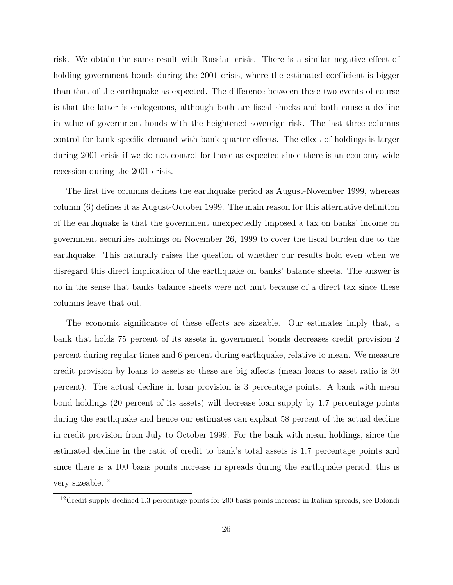risk. We obtain the same result with Russian crisis. There is a similar negative effect of holding government bonds during the 2001 crisis, where the estimated coefficient is bigger than that of the earthquake as expected. The difference between these two events of course is that the latter is endogenous, although both are fiscal shocks and both cause a decline in value of government bonds with the heightened sovereign risk. The last three columns control for bank specific demand with bank-quarter effects. The effect of holdings is larger during 2001 crisis if we do not control for these as expected since there is an economy wide recession during the 2001 crisis.

The first five columns defines the earthquake period as August-November 1999, whereas column (6) defines it as August-October 1999. The main reason for this alternative definition of the earthquake is that the government unexpectedly imposed a tax on banks' income on government securities holdings on November 26, 1999 to cover the fiscal burden due to the earthquake. This naturally raises the question of whether our results hold even when we disregard this direct implication of the earthquake on banks' balance sheets. The answer is no in the sense that banks balance sheets were not hurt because of a direct tax since these columns leave that out.

The economic significance of these effects are sizeable. Our estimates imply that, a bank that holds 75 percent of its assets in government bonds decreases credit provision 2 percent during regular times and 6 percent during earthquake, relative to mean. We measure credit provision by loans to assets so these are big affects (mean loans to asset ratio is 30 percent). The actual decline in loan provision is 3 percentage points. A bank with mean bond holdings (20 percent of its assets) will decrease loan supply by 1.7 percentage points during the earthquake and hence our estimates can explant 58 percent of the actual decline in credit provision from July to October 1999. For the bank with mean holdings, since the estimated decline in the ratio of credit to bank's total assets is 1.7 percentage points and since there is a 100 basis points increase in spreads during the earthquake period, this is very sizeable.<sup>12</sup>

<sup>&</sup>lt;sup>12</sup>Credit supply declined 1.3 percentage points for 200 basis points increase in Italian spreads, see Bofondi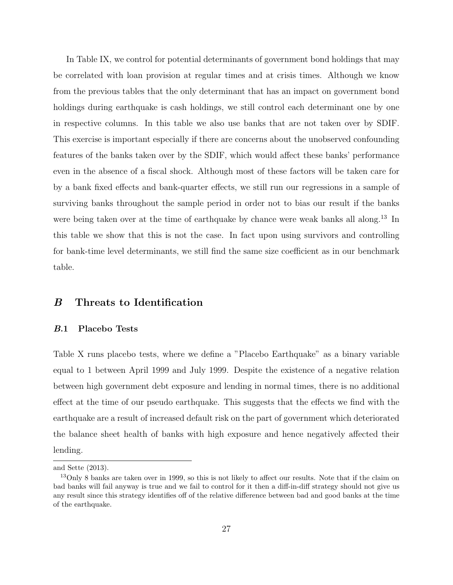In Table IX, we control for potential determinants of government bond holdings that may be correlated with loan provision at regular times and at crisis times. Although we know from the previous tables that the only determinant that has an impact on government bond holdings during earthquake is cash holdings, we still control each determinant one by one in respective columns. In this table we also use banks that are not taken over by SDIF. This exercise is important especially if there are concerns about the unobserved confounding features of the banks taken over by the SDIF, which would affect these banks' performance even in the absence of a fiscal shock. Although most of these factors will be taken care for by a bank fixed effects and bank-quarter effects, we still run our regressions in a sample of surviving banks throughout the sample period in order not to bias our result if the banks were being taken over at the time of earthquake by chance were weak banks all along.<sup>13</sup> In this table we show that this is not the case. In fact upon using survivors and controlling for bank-time level determinants, we still find the same size coefficient as in our benchmark table.

#### B Threats to Identification

#### B.1 Placebo Tests

Table X runs placebo tests, where we define a "Placebo Earthquake" as a binary variable equal to 1 between April 1999 and July 1999. Despite the existence of a negative relation between high government debt exposure and lending in normal times, there is no additional effect at the time of our pseudo earthquake. This suggests that the effects we find with the earthquake are a result of increased default risk on the part of government which deteriorated the balance sheet health of banks with high exposure and hence negatively affected their lending.

and Sette (2013).

<sup>&</sup>lt;sup>13</sup>Only 8 banks are taken over in 1999, so this is not likely to affect our results. Note that if the claim on bad banks will fail anyway is true and we fail to control for it then a diff-in-diff strategy should not give us any result since this strategy identifies off of the relative difference between bad and good banks at the time of the earthquake.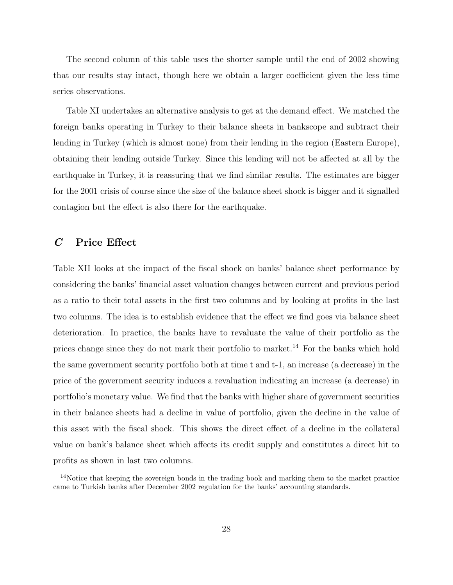The second column of this table uses the shorter sample until the end of 2002 showing that our results stay intact, though here we obtain a larger coefficient given the less time series observations.

Table XI undertakes an alternative analysis to get at the demand effect. We matched the foreign banks operating in Turkey to their balance sheets in bankscope and subtract their lending in Turkey (which is almost none) from their lending in the region (Eastern Europe), obtaining their lending outside Turkey. Since this lending will not be affected at all by the earthquake in Turkey, it is reassuring that we find similar results. The estimates are bigger for the 2001 crisis of course since the size of the balance sheet shock is bigger and it signalled contagion but the effect is also there for the earthquake.

#### C Price Effect

Table XII looks at the impact of the fiscal shock on banks' balance sheet performance by considering the banks' financial asset valuation changes between current and previous period as a ratio to their total assets in the first two columns and by looking at profits in the last two columns. The idea is to establish evidence that the effect we find goes via balance sheet deterioration. In practice, the banks have to revaluate the value of their portfolio as the prices change since they do not mark their portfolio to market.<sup>14</sup> For the banks which hold the same government security portfolio both at time t and t-1, an increase (a decrease) in the price of the government security induces a revaluation indicating an increase (a decrease) in portfolio's monetary value. We find that the banks with higher share of government securities in their balance sheets had a decline in value of portfolio, given the decline in the value of this asset with the fiscal shock. This shows the direct effect of a decline in the collateral value on bank's balance sheet which affects its credit supply and constitutes a direct hit to profits as shown in last two columns.

<sup>&</sup>lt;sup>14</sup>Notice that keeping the sovereign bonds in the trading book and marking them to the market practice came to Turkish banks after December 2002 regulation for the banks' accounting standards.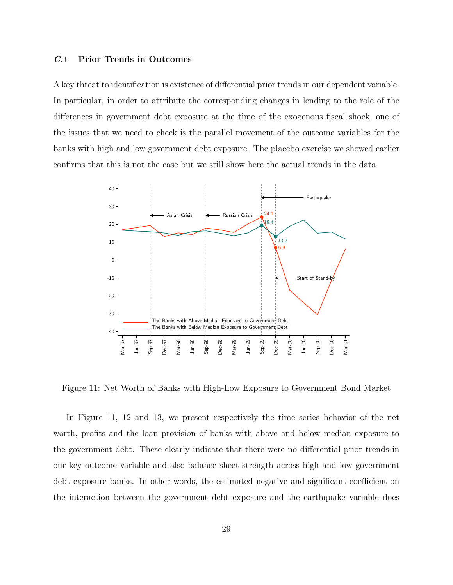#### C.1 Prior Trends in Outcomes

A key threat to identification is existence of differential prior trends in our dependent variable. In particular, in order to attribute the corresponding changes in lending to the role of the differences in government debt exposure at the time of the exogenous fiscal shock, one of the issues that we need to check is the parallel movement of the outcome variables for the banks with high and low government debt exposure. The placebo exercise we showed earlier confirms that this is not the case but we still show here the actual trends in the data.



Figure 11: Net Worth of Banks with High-Low Exposure to Government Bond Market

In Figure 11, 12 and 13, we present respectively the time series behavior of the net worth, profits and the loan provision of banks with above and below median exposure to the government debt. These clearly indicate that there were no differential prior trends in our key outcome variable and also balance sheet strength across high and low government debt exposure banks. In other words, the estimated negative and significant coefficient on the interaction between the government debt exposure and the earthquake variable does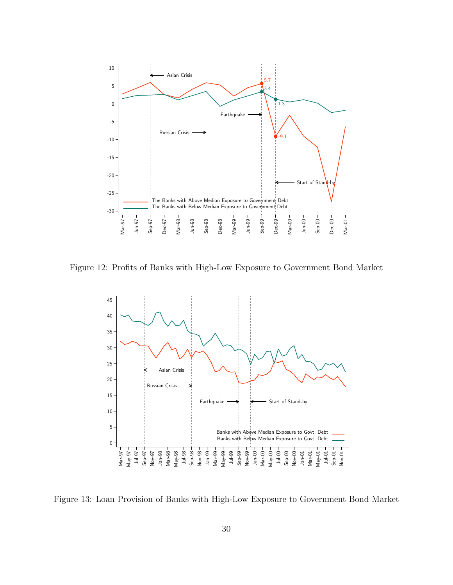

Figure 12: Profits of Banks with High-Low Exposure to Government Bond Market



Figure 13: Loan Provision of Banks with High-Low Exposure to Government Bond Market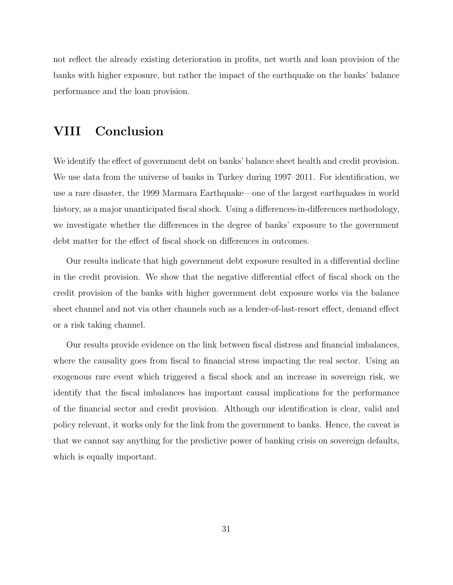not reflect the already existing deterioration in profits, net worth and loan provision of the banks with higher exposure, but rather the impact of the earthquake on the banks' balance performance and the loan provision.

# VIII Conclusion

We identify the effect of government debt on banks' balance sheet health and credit provision. We use data from the universe of banks in Turkey during 1997–2011. For identification, we use a rare disaster, the 1999 Marmara Earthquake—one of the largest earthquakes in world history, as a major unanticipated fiscal shock. Using a differences-in-differences methodology, we investigate whether the differences in the degree of banks' exposure to the government debt matter for the effect of fiscal shock on differences in outcomes.

Our results indicate that high government debt exposure resulted in a differential decline in the credit provision. We show that the negative differential effect of fiscal shock on the credit provision of the banks with higher government debt exposure works via the balance sheet channel and not via other channels such as a lender-of-last-resort effect, demand effect or a risk taking channel.

Our results provide evidence on the link between fiscal distress and financial imbalances, where the causality goes from fiscal to financial stress impacting the real sector. Using an exogenous rare event which triggered a fiscal shock and an increase in sovereign risk, we identify that the fiscal imbalances has important causal implications for the performance of the financial sector and credit provision. Although our identification is clear, valid and policy relevant, it works only for the link from the government to banks. Hence, the caveat is that we cannot say anything for the predictive power of banking crisis on sovereign defaults, which is equally important.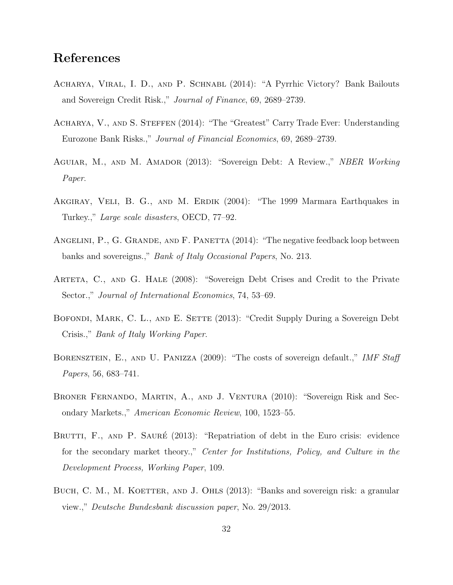# References

- Acharya, Viral, I. D., and P. Schnabl (2014): "A Pyrrhic Victory? Bank Bailouts and Sovereign Credit Risk.," Journal of Finance, 69, 2689–2739.
- Acharya, V., and S. Steffen (2014): "The "Greatest" Carry Trade Ever: Understanding Eurozone Bank Risks.," Journal of Financial Economics, 69, 2689–2739.
- Aguiar, M., and M. Amador (2013): "Sovereign Debt: A Review.," NBER Working Paper.
- Akgiray, Veli, B. G., and M. Erdik (2004): "The 1999 Marmara Earthquakes in Turkey.," Large scale disasters, OECD, 77–92.
- ANGELINI, P., G. GRANDE, AND F. PANETTA (2014): "The negative feedback loop between banks and sovereigns.," Bank of Italy Occasional Papers, No. 213.
- ARTETA, C., AND G. HALE (2008): "Sovereign Debt Crises and Credit to the Private Sector.," *Journal of International Economics*, 74, 53–69.
- BOFONDI, MARK, C. L., AND E. SETTE (2013): "Credit Supply During a Sovereign Debt Crisis.," Bank of Italy Working Paper.
- BORENSZTEIN, E., AND U. PANIZZA (2009): "The costs of sovereign default.," IMF Staff Papers, 56, 683–741.
- Broner Fernando, Martin, A., and J. Ventura (2010): "Sovereign Risk and Secondary Markets.," American Economic Review, 100, 1523–55.
- BRUTTI, F., AND P. SAURÉ (2013): "Repatriation of debt in the Euro crisis: evidence for the secondary market theory.," Center for Institutions, Policy, and Culture in the Development Process, Working Paper, 109.
- BUCH, C. M., M. KOETTER, AND J. OHLS (2013): "Banks and sovereign risk: a granular view.," Deutsche Bundesbank discussion paper, No. 29/2013.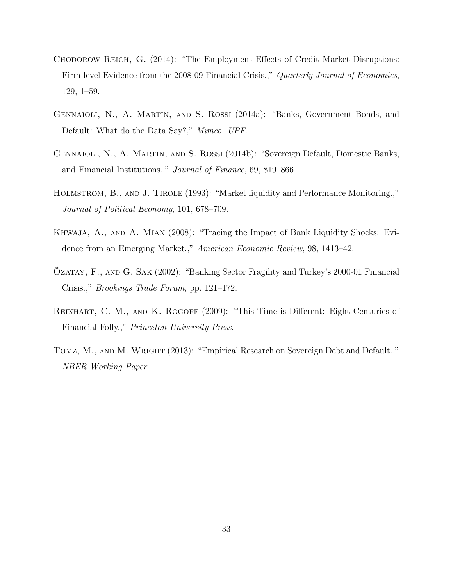- Chodorow-Reich, G. (2014): "The Employment Effects of Credit Market Disruptions: Firm-level Evidence from the 2008-09 Financial Crisis.," Quarterly Journal of Economics, 129, 1–59.
- Gennaioli, N., A. Martin, and S. Rossi (2014a): "Banks, Government Bonds, and Default: What do the Data Say?," Mimeo. UPF.
- Gennaioli, N., A. Martin, and S. Rossi (2014b): "Sovereign Default, Domestic Banks, and Financial Institutions.," Journal of Finance, 69, 819–866.
- Holmstrom, B., and J. Tirole (1993): "Market liquidity and Performance Monitoring.," Journal of Political Economy, 101, 678–709.
- Khwaja, A., and A. Mian (2008): "Tracing the Impact of Bank Liquidity Shocks: Evidence from an Emerging Market.," American Economic Review, 98, 1413–42.
- ÖZATAY, F., AND G. SAK (2002): "Banking Sector Fragility and Turkey's 2000-01 Financial Crisis.," Brookings Trade Forum, pp. 121–172.
- REINHART, C. M., AND K. ROGOFF (2009): "This Time is Different: Eight Centuries of Financial Folly.," Princeton University Press.
- Tomz, M., and M. Wright (2013): "Empirical Research on Sovereign Debt and Default.," NBER Working Paper.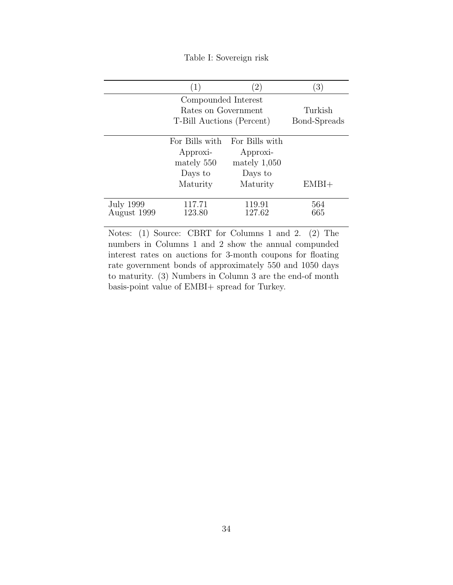Table I: Sovereign risk

|                          | (1)                       | $\left( 2\right)$ | (3)          |
|--------------------------|---------------------------|-------------------|--------------|
|                          | Compounded Interest       |                   |              |
|                          | Rates on Government       |                   | Turkish      |
|                          | T-Bill Auctions (Percent) |                   | Bond-Spreads |
|                          | For Bills with            | For Bills with    |              |
|                          | Approxi-                  | Approxi-          |              |
|                          | mately 550                | mately $1,050$    |              |
|                          | Days to                   | Days to           |              |
|                          | Maturity                  | Maturity          | $EMBI+$      |
|                          |                           |                   |              |
| July 1999<br>August 1999 | 117.71<br>123.80          | 119.91<br>127.62  | 564<br>665   |
|                          |                           |                   |              |

Notes: (1) Source: CBRT for Columns 1 and 2. (2) The numbers in Columns 1 and 2 show the annual compunded interest rates on auctions for 3-month coupons for floating rate government bonds of approximately 550 and 1050 days to maturity. (3) Numbers in Column 3 are the end-of month basis-point value of EMBI+ spread for Turkey.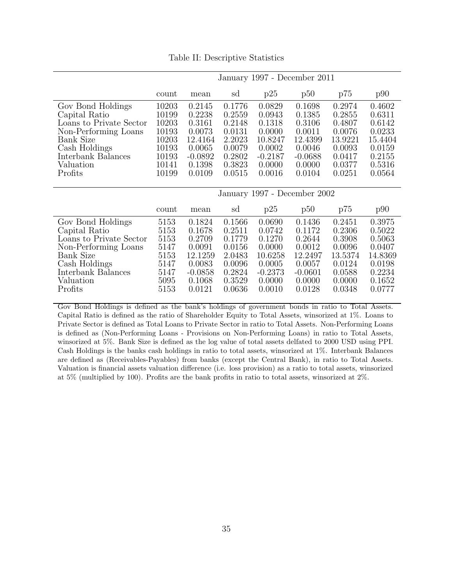|  | Table II: Descriptive Statistics |  |
|--|----------------------------------|--|
|--|----------------------------------|--|

|                                                                                                                                                                          | January 1997 - December 2011                                                  |                                                                                            |                                                                                        |                                                                                            |                                                                                            |                                                                                         |                                                                                         |
|--------------------------------------------------------------------------------------------------------------------------------------------------------------------------|-------------------------------------------------------------------------------|--------------------------------------------------------------------------------------------|----------------------------------------------------------------------------------------|--------------------------------------------------------------------------------------------|--------------------------------------------------------------------------------------------|-----------------------------------------------------------------------------------------|-----------------------------------------------------------------------------------------|
|                                                                                                                                                                          | count                                                                         | mean                                                                                       | sd                                                                                     | p25                                                                                        | p50                                                                                        | p75                                                                                     | p90                                                                                     |
| Gov Bond Holdings<br>Capital Ratio<br>Loans to Private Sector<br>Non-Performing Loans<br><b>Bank Size</b><br>Cash Holdings<br>Interbank Balances<br>Valuation<br>Profits | 10203<br>10199<br>10203<br>10193<br>10203<br>10193<br>10193<br>10141<br>10199 | 0.2145<br>0.2238<br>0.3161<br>0.0073<br>12.4164<br>0.0065<br>$-0.0892$<br>0.1398<br>0.0109 | 0.1776<br>0.2559<br>0.2148<br>0.0131<br>2.2023<br>0.0079<br>0.2802<br>0.3823<br>0.0515 | 0.0829<br>0.0943<br>0.1318<br>0.0000<br>10.8247<br>0.0002<br>$-0.2187$<br>0.0000<br>0.0016 | 0.1698<br>0.1385<br>0.3106<br>0.0011<br>12.4399<br>0.0046<br>$-0.0688$<br>0.0000<br>0.0104 | 0.2974<br>0.2855<br>0.4807<br>0.0076<br>13.9221<br>0.0093<br>0.0417<br>0.0377<br>0.0251 | 0.4602<br>0.6311<br>0.6142<br>0.0233<br>15.4404<br>0.0159<br>0.2155<br>0.5316<br>0.0564 |
|                                                                                                                                                                          |                                                                               |                                                                                            |                                                                                        |                                                                                            | January 1997 - December 2002                                                               |                                                                                         |                                                                                         |
|                                                                                                                                                                          | count                                                                         | mean                                                                                       | sd                                                                                     | p25                                                                                        | p50                                                                                        | p75                                                                                     | p90                                                                                     |
| Gov Bond Holdings<br>Capital Ratio<br>Loans to Private Sector<br>Non-Performing Loans<br><b>Bank Size</b><br>Cash Holdings<br>Interbank Balances<br>Valuation<br>Profits | 5153<br>5153<br>5153<br>5147<br>5153<br>5147<br>5147<br>5095<br>5153          | 0.1824<br>0.1678<br>0.2709<br>0.0091<br>12.1259<br>0.0083<br>$-0.0858$<br>0.1068<br>0.0121 | 0.1566<br>0.2511<br>0.1779<br>0.0156<br>2.0483<br>0.0096<br>0.2824<br>0.3529<br>0.0636 | 0.0690<br>0.0742<br>0.1270<br>0.0000<br>10.6258<br>0.0005<br>$-0.2373$<br>0.0000<br>0.0010 | 0.1436<br>0.1172<br>0.2644<br>0.0012<br>12.2497<br>0.0057<br>$-0.0601$<br>0.0000<br>0.0128 | 0.2451<br>0.2306<br>0.3908<br>0.0096<br>13.5374<br>0.0124<br>0.0588<br>0.0000<br>0.0348 | 0.3975<br>0.5022<br>0.5063<br>0.0407<br>14.8369<br>0.0198<br>0.2234<br>0.1652<br>0.0777 |

Gov Bond Holdings is defined as the bank's holdings of government bonds in ratio to Total Assets. Capital Ratio is defined as the ratio of Shareholder Equity to Total Assets, winsorized at 1%. Loans to Private Sector is defined as Total Loans to Private Sector in ratio to Total Assets. Non-Performing Loans is defined as (Non-Performing Loans - Provisions on Non-Performing Loans) in ratio to Total Assets, winsorized at 5%. Bank Size is defined as the log value of total assets delfated to 2000 USD using PPI. Cash Holdings is the banks cash holdings in ratio to total assets, winsorized at 1%. Interbank Balances are defined as (Receivables-Payables) from banks (except the Central Bank), in ratio to Total Assets. Valuation is financial assets valuation difference (i.e. loss provision) as a ratio to total assets, winsorized at 5% (multiplied by 100). Profits are the bank profits in ratio to total assets, winsorized at 2%.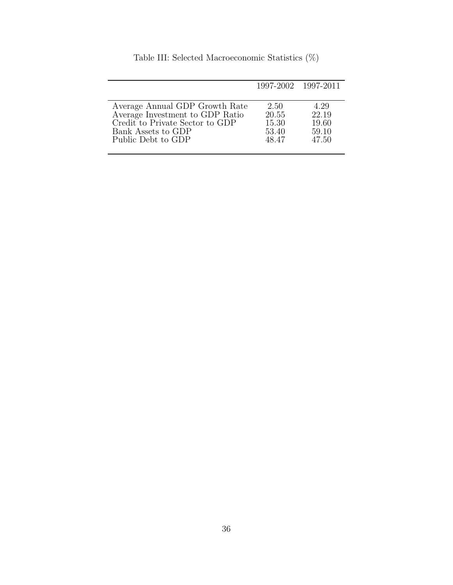|                                 | 1997-2002 1997-2011 |       |
|---------------------------------|---------------------|-------|
| Average Annual GDP Growth Rate  | 2.50                | 4.29  |
| Average Investment to GDP Ratio | 20.55               | 22.19 |
| Credit to Private Sector to GDP | 15.30               | 19.60 |
| Bank Assets to GDP              | 53.40               | 59.10 |
| Public Debt to GDP              | 48.47               | 47.50 |

Table III: Selected Macroeconomic Statistics (%)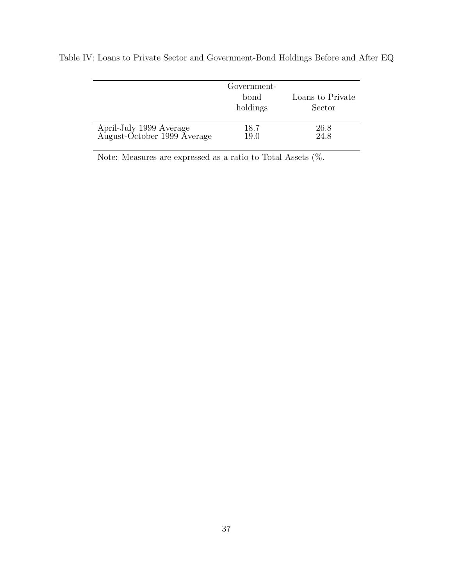|                                                        | Government-<br>bond<br>holdings | Loans to Private<br>Sector |
|--------------------------------------------------------|---------------------------------|----------------------------|
| April-July 1999 Average<br>August-October 1999 Average | 18.7<br>19.0                    | 26.8<br>24.8               |

Table IV: Loans to Private Sector and Government-Bond Holdings Before and After EQ

Note: Measures are expressed as a ratio to Total Assets (%.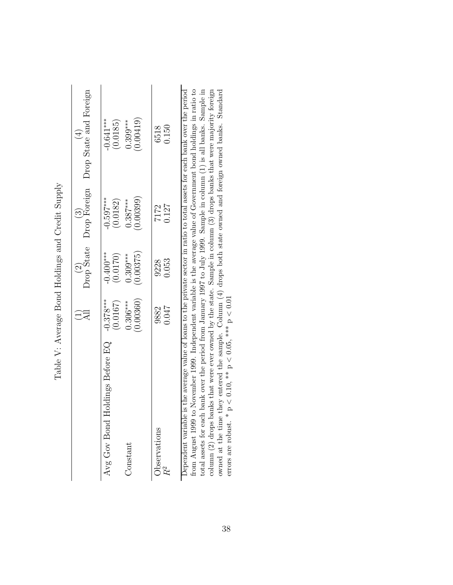|                                                                                                                               |                       | $\begin{pmatrix} 2 \\ \text{Drop State} \end{pmatrix}$ . | $\begin{array}{c} (3)\\{\rm Drop\; Foreign}\end{array}$ | Drop State and Foreign<br>$\bigoplus$ |
|-------------------------------------------------------------------------------------------------------------------------------|-----------------------|----------------------------------------------------------|---------------------------------------------------------|---------------------------------------|
| Avg Gov Bond Holdings Before EQ $-0.378***$                                                                                   | (0.0167)              | $-0.400***$<br>(0.0170)                                  | $-0.597***$<br>(0.0182)                                 | $-0.641***$<br>(0.0185)               |
| Constant                                                                                                                      | 0.00360<br>$0.306***$ | (0.00375)<br>$0.309***$                                  | 0.00399<br>$0.387***$                                   | 0.00419)<br>$0.399***$                |
| <b>Observations</b>                                                                                                           | 9882<br>0.047         | 0.053<br>9228                                            | 0.127<br>7172                                           | 0.150<br>6518                         |
| Dependent variable is the average value of loans to the private sector in ratio to total assets for each bank over the period |                       |                                                          |                                                         |                                       |

Table V: Average Bond Holdings and Credit Supply Table V: Average Bond Holdings and Credit Supply

 $f$  from August 1999 to November 1999. Independent variable is the average value of Government bond holdings in ratio to  $f$ total assets for each bank over the period from January 1997 to July 1999. Sample in column (1) is all banks. Sample in column (2) drops banks that were ever owned by the state. Sample in column (3) drops banks that were majority foreign owned at the time they entered the sample. Column (4) drops both state owned and foreign owned banks. Standard errors are robust. \*  $p < 0.10$ , \*\*  $p < 0.05$ , \*\*\*  $p < 0.01$ Dependent variable is the average value of loans to the private sector in ratio to total assets for each bank over the period from August 1999 to November 1999. Independent variable is the average value of Government bond holdings in ratio to total assets for each bank over the period from January 1997 to July 1999. Sample in column (1) is all banks. Sample in column (2) drops banks that were ever owned by the state. Sample in column (3) drops banks that were majority foreign owned at the time they entered the sample. Column (4) drops both state owned and foreign owned banks. Standard errors are robust. \*  $p < 0.10$ , \*\*  $p < 0.05$ , \*\*\*  $p < 0.01$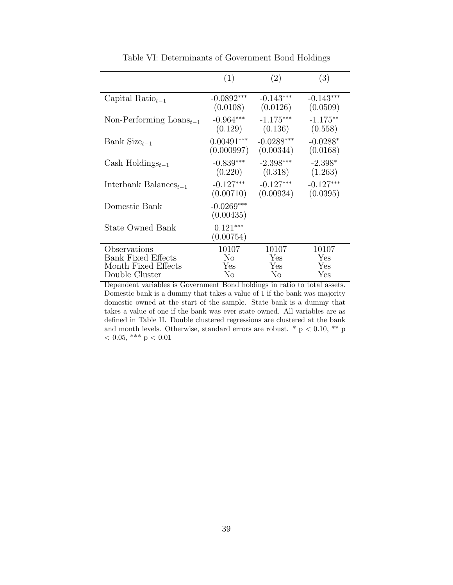|                                     | (1)                       | (2)          | (3)         |
|-------------------------------------|---------------------------|--------------|-------------|
| Capital Ratio <sub>t-1</sub>        | $-0.0892***$              | $-0.143***$  | $-0.143***$ |
|                                     | (0.0108)                  | (0.0126)     | (0.0509)    |
| Non-Performing $\text{Loans}_{t-1}$ | $-0.964***$               | $-1.175***$  | $-1.175***$ |
|                                     | (0.129)                   | (0.136)      | (0.558)     |
| Bank Size $_{t-1}$                  | $0.00491***$              | $-0.0288***$ | $-0.0288*$  |
|                                     | (0.000997)                | (0.00344)    | (0.0168)    |
| Cash Holdings $_{t-1}$              | $-0.839***$               | $-2.398***$  | $-2.398*$   |
|                                     | (0.220)                   | (0.318)      | (1.263)     |
| Interbank Balances <sub>t-1</sub>   | $-0.127***$               | $-0.127***$  | $-0.127***$ |
|                                     | (0.00710)                 | (0.00934)    | (0.0395)    |
| Domestic Bank                       | $-0.0269***$<br>(0.00435) |              |             |
| <b>State Owned Bank</b>             | $0.121***$<br>(0.00754)   |              |             |
| Observations                        | 10107                     | 10107        | 10107       |
| <b>Bank Fixed Effects</b>           | No                        | Yes          | Yes         |
| Month Fixed Effects                 | Yes                       | Yes          | Yes         |
| Double Cluster                      | No                        | No           | Yes         |

Table VI: Determinants of Government Bond Holdings

Dependent variables is Government Bond holdings in ratio to total assets. Domestic bank is a dummy that takes a value of 1 if the bank was majority domestic owned at the start of the sample. State bank is a dummy that takes a value of one if the bank was ever state owned. All variables are as defined in Table II. Double clustered regressions are clustered at the bank and month levels. Otherwise, standard errors are robust.  $*$  p < 0.10,  $**$  p  $<$  0.05,  $***$  p  $<$  0.01  $\,$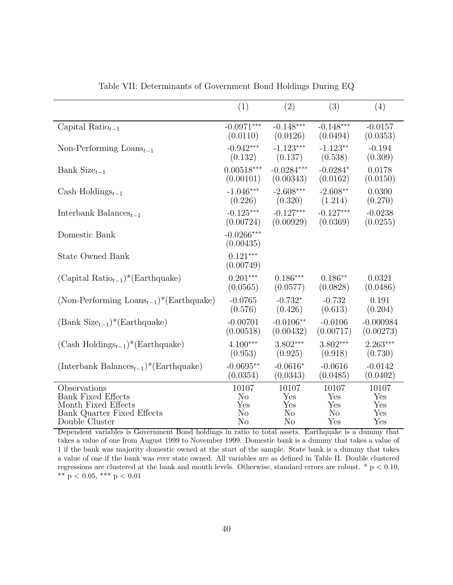|                                                     | (1)                       | (2)            | (3)         | (4)         |
|-----------------------------------------------------|---------------------------|----------------|-------------|-------------|
| Capital Ratio $_{t-1}$                              | $-0.0971***$              | $-0.148***$    | $-0.148***$ | $-0.0157$   |
|                                                     | (0.0110)                  | (0.0126)       | (0.0494)    | (0.0353)    |
| Non-Performing $\text{Loans}_{t-1}$                 | $-0.942***$               | $-1.123***$    | $-1.123**$  | $-0.194$    |
|                                                     | (0.132)                   | (0.137)        | (0.538)     | (0.309)     |
| Bank Size $_{t-1}$                                  | $0.00518***$              | $-0.0284***$   | $-0.0284*$  | 0.0178      |
|                                                     | (0.00101)                 | (0.00343)      | (0.0162)    | (0.0150)    |
| Cash Holdings $_{t-1}$                              | $-1.046***$               | $-2.608***$    | $-2.608**$  | 0.0300      |
|                                                     | (0.226)                   | (0.320)        | (1.214)     | (0.270)     |
| Interbank Balances <sub><math>t-1</math></sub>      | $-0.125***$               | $-0.127***$    | $-0.127***$ | $-0.0238$   |
|                                                     | (0.00724)                 | (0.00929)      | (0.0369)    | (0.0255)    |
| Domestic Bank                                       | $-0.0266***$<br>(0.00435) |                |             |             |
| <b>State Owned Bank</b>                             | $0.121***$<br>(0.00749)   |                |             |             |
| $(Capital Ratiot-1)*(Earthquake)$                   | $0.201***$                | $0.186***$     | $0.186**$   | 0.0321      |
|                                                     | (0.0565)                  | (0.0577)       | (0.0828)    | (0.0486)    |
| (Non-Performing $\text{Loans}_{t-1}$ )*(Earthquake) | $-0.0765$                 | $-0.732*$      | $-0.732$    | 0.191       |
|                                                     | (0.576)                   | (0.426)        | (0.613)     | (0.204)     |
| $(Bank Size_{t-1})*(Earthquake)$                    | $-0.00701$                | $-0.0106**$    | $-0.0106$   | $-0.000984$ |
|                                                     | (0.00518)                 | (0.00432)      | (0.00717)   | (0.00273)   |
| $(Cash \text{Holdings}_{t-1})^*(Earthquake)$        | $4.100***$                | $3.802***$     | $3.802***$  | $2.263***$  |
|                                                     | (0.953)                   | (0.925)        | (0.918)     | (0.730)     |
| $(Interbank Balancet-1)*(Earthquake)$               | $-0.0695**$               | $-0.0616*$     | $-0.0616$   | $-0.0142$   |
|                                                     | (0.0354)                  | (0.0343)       | (0.0485)    | (0.0402)    |
| Observations                                        | 10107                     | 10107          | 10107       | 10107       |
| <b>Bank Fixed Effects</b>                           | N <sub>o</sub>            | Yes            | Yes         | Yes         |
| Month Fixed Effects                                 | Yes                       | Yes            | Yes         | Yes         |
| Bank Quarter Fixed Effects                          | No                        | $\rm No$       | No          | Yes         |
| Double Cluster                                      | $\rm No$                  | N <sub>o</sub> | Yes         | Yes         |

Table VII: Determinants of Government Bond Holdings During EQ

Dependent variables is Government Bond holdings in ratio to total assets. Earthquake is a dummy that takes a value of one from August 1999 to November 1999. Domestic bank is a dummy that takes a value of 1 if the bank was majority domestic owned at the start of the sample. State bank is a dummy that takes a value of one if the bank was ever state owned. All variables are as defined in Table II. Double clustered regressions are clustered at the bank and month levels. Otherwise, standard errors are robust.  $*$  p < 0.10, \*\*  $p < 0.05$ , \*\*\*  $p < 0.01$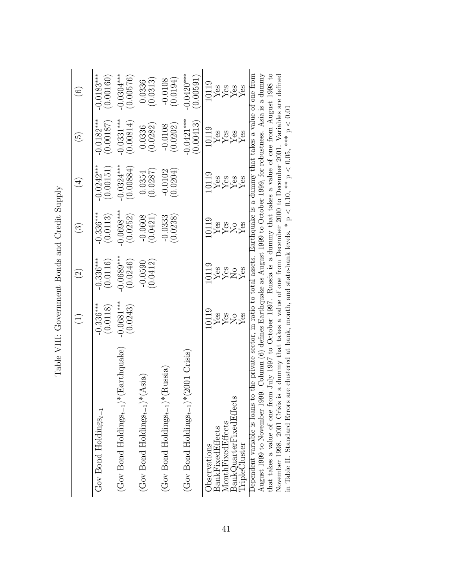|                                                                                                                                                                                                                                                                  | $\widehat{\Xi}$                | $\widehat{\Omega}$         | $\widehat{\mathbb{C}}$     | $(\pm)$                           | $\widetilde{\mathbb{G}}$                           | $\widehat{\odot}$                                                                              |
|------------------------------------------------------------------------------------------------------------------------------------------------------------------------------------------------------------------------------------------------------------------|--------------------------------|----------------------------|----------------------------|-----------------------------------|----------------------------------------------------|------------------------------------------------------------------------------------------------|
| Gov Bond Holdings $_{t-1}$                                                                                                                                                                                                                                       | $-0.336***$<br>(0.0118)        | $-0.336***$<br>(0.0116)    | $0.336***$<br>(0.0113)     | $-0.0242***$<br>(0.00151)         | $-0.0182***$<br>(0.00187)                          | $0.0183***$<br>(0.00160)                                                                       |
| $(\text{Gov Bond Holding}_{8t-1})^*(\text{Earthquake})$                                                                                                                                                                                                          | $0.0681***$<br>(0.0243)        | $0.0689***$<br>(0.0246)    | $-0.0698***$<br>(0.0252)   | $0.0324***$<br>(0.00884)          | $0.0331***$<br>(0.00814)                           | $0.0304***$<br>(0.00576)                                                                       |
| $(Gov$ Bond Holdings $_{t-1}$ <sup>*</sup> (Asia)                                                                                                                                                                                                                |                                | $-0.0590$<br>$(0.0412)$    | $-0.0608$<br>(0.0421)      | $(0.0354)$<br>(0.0287)            | $(0.0336)$<br>$(0.0282)$                           | (0.0313)<br>0.0336                                                                             |
| $(\text{Gov Bond Holding}_{8t-1})^*(\text{Russia})$                                                                                                                                                                                                              |                                |                            | (0.0238)<br>$-0.0333$      | $-0.0102$<br>$(0.0204)$           | $-0.0108$<br>(0.0202)                              | (0.0108)                                                                                       |
| $(\text{Gov Bond Holding}_{8t-1})*(2001 \text{ Crisis})$                                                                                                                                                                                                         |                                |                            |                            |                                   | $-0.0421***$<br>$(0.00413)$                        | $0.0420***$<br>0.00591)                                                                        |
| $\operatorname{BankQuarterFixedEffects}$<br>MonthFixed Effects<br><b>BankFixedEffects</b><br>TripleCluster<br>Observations                                                                                                                                       | 119<br>Yes<br>22<br>Yes<br>Yes | 10119<br>Yes<br>Yes<br>Yes | 10119<br>Yes<br>XXXX<br>XX | 10119<br>Yes<br>Yes<br>Yes<br>Yes | $\frac{\text{V}}{\text{Yes}}$<br>Yes<br>Yes<br>Yes | $\frac{\text{V}}{\text{Yes}} \ \text{Yes} \ \text{Yes} \ \text{Yes} \ \text{Yes} \ \text{Yes}$ |
| Dependent variable is loans to the private sector, in ratio to total assets. Earthquake is a dummy that takes a value of one from<br>August 1999 to November 1999. Column (6) defines Earthquake as August 1999 to October 1999, for robustness. Asia is a dummy |                                |                            |                            |                                   |                                                    |                                                                                                |

Table VIII: Government Bonds and Credit Supply Table VIII: Government Bonds and Credit Supply

that takes a value of one from July 1997 to October 1997. Russia is a dummy that takes a value of one from August 1998 to November 1998. 2001 Crisis is a dummy that takes a value of compensive and the Movember 1998. 2001 August 1999 to November 1999. Column (6) defines Earthquake as August 1999 to October 1999, for robustness. Asia is a dummy that takes a value of one from July 1997 to October 1997. Russia is a dummy that takes a value of one from August 1998 to November 1998. 2001 Crisis is a dummy that takes a value of one from December 2000 to December 2001. Variables are defined in Table II. Standard Errors are clustered at bank, month, and state-bank levels. \*  $p < 0.10$ , \*\*  $p < 0.05$ , \*\*\*  $p < 0.01$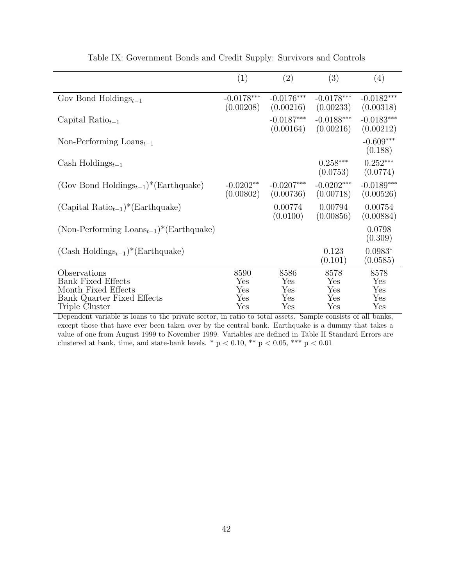| (1)                       | (2)                       | (3)                       | (4)                       |
|---------------------------|---------------------------|---------------------------|---------------------------|
| $-0.0178***$<br>(0.00208) | $-0.0176***$<br>(0.00216) | $-0.0178***$<br>(0.00233) | $-0.0182***$<br>(0.00318) |
|                           | $-0.0187***$<br>(0.00164) | $-0.0188***$<br>(0.00216) | $-0.0183***$<br>(0.00212) |
|                           |                           |                           | $-0.609***$<br>(0.188)    |
|                           |                           | $0.258***$<br>(0.0753)    | $0.252***$<br>(0.0774)    |
| $-0.0202**$<br>(0.00802)  | $-0.0207***$<br>(0.00736) | $-0.0202***$<br>(0.00718) | $-0.0189***$<br>(0.00526) |
|                           | 0.00774<br>(0.0100)       | 0.00794<br>(0.00856)      | 0.00754<br>(0.00884)      |
|                           |                           |                           | 0.0798<br>(0.309)         |
|                           |                           | 0.123<br>(0.101)          | $0.0983*$<br>(0.0585)     |
| 8590                      | 8586                      | 8578                      | 8578                      |
|                           | Yes                       |                           | Yes                       |
|                           |                           |                           | Yes                       |
|                           |                           |                           | Yes<br>Yes                |
|                           | Yes<br>Yes<br>Yes<br>Yes  | Yes<br>Yes<br>Yes         | Yes<br>Yes<br>Yes<br>Yes  |

|  |  | Table IX: Government Bonds and Credit Supply: Survivors and Controls |  |  |  |  |  |  |
|--|--|----------------------------------------------------------------------|--|--|--|--|--|--|
|--|--|----------------------------------------------------------------------|--|--|--|--|--|--|

Dependent variable is loans to the private sector, in ratio to total assets. Sample consists of all banks, except those that have ever been taken over by the central bank. Earthquake is a dummy that takes a value of one from August 1999 to November 1999. Variables are defined in Table II Standard Errors are clustered at bank, time, and state-bank levels. \* p < 0.10, \*\* p < 0.05, \*\*\* p < 0.01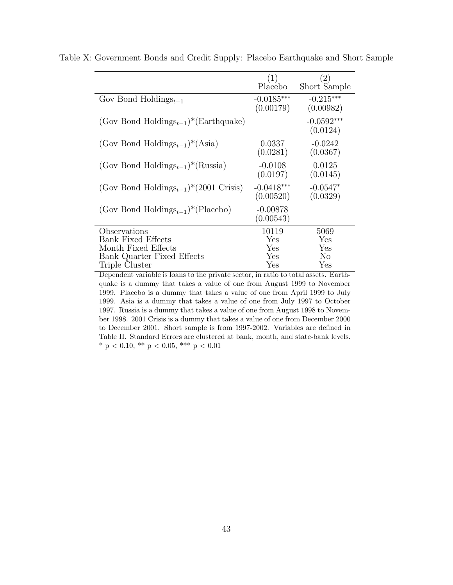|                                                         | (1)<br>Placebo            | (2)<br>Short Sample      |
|---------------------------------------------------------|---------------------------|--------------------------|
| Gov Bond Holdings <sub>t-1</sub>                        | $-0.0185***$<br>(0.00179) | $-0.215***$<br>(0.00982) |
| (Gov Bond Holdings <sub>t-1</sub> )*(Earthquake)        |                           | $-0.0592***$<br>(0.0124) |
| (Gov Bond Holdings <sub>t-1</sub> ) <sup>*</sup> (Asia) | 0.0337<br>(0.0281)        | $-0.0242$<br>(0.0367)    |
| (Gov Bond Holdings <sub>t-1</sub> )*(Russia)            | $-0.0108$<br>(0.0197)     | 0.0125<br>(0.0145)       |
| (Gov Bond Holdings <sub>t-1</sub> )*(2001 Crisis)       | $-0.0418***$<br>(0.00520) | $-0.0547*$<br>(0.0329)   |
| (Gov Bond Holdings <sub>t-1</sub> )*(Placebo)           | $-0.00878$<br>(0.00543)   |                          |
| Observations                                            | 10119                     | 5069                     |
| <b>Bank Fixed Effects</b>                               | Yes                       | Yes                      |
| Month Fixed Effects                                     | Yes                       | Yes                      |
| Bank Quarter Fixed Effects<br>Triple Cluster            | Yes<br>Yes                | No<br>Yes                |
|                                                         |                           |                          |

Table X: Government Bonds and Credit Supply: Placebo Earthquake and Short Sample

Dependent variable is loans to the private sector, in ratio to total assets. Earthquake is a dummy that takes a value of one from August 1999 to November 1999. Placebo is a dummy that takes a value of one from April 1999 to July 1999. Asia is a dummy that takes a value of one from July 1997 to October 1997. Russia is a dummy that takes a value of one from August 1998 to November 1998. 2001 Crisis is a dummy that takes a value of one from December 2000 to December 2001. Short sample is from 1997-2002. Variables are defined in Table II. Standard Errors are clustered at bank, month, and state-bank levels. \* p < 0.10, \*\* p < 0.05, \*\*\* p < 0.01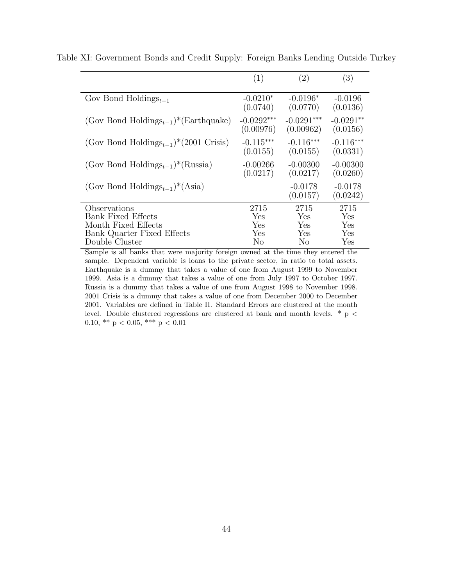|                                                           | (1)          | $\left( 2\right)$     | (3)                   |
|-----------------------------------------------------------|--------------|-----------------------|-----------------------|
| Gov Bond Holdings $_{t-1}$                                | $-0.0210*$   | $-0.0196*$            | $-0.0196$             |
|                                                           | (0.0740)     | (0.0770)              | (0.0136)              |
| (Gov Bond Holdings <sub>t-1</sub> )*(Earthquake)          | $-0.0292***$ | $-0.0291***$          | $-0.0291**$           |
|                                                           | (0.00976)    | (0.00962)             | (0.0156)              |
| (Gov Bond Holdings <sub>t-1</sub> )*(2001 Crisis)         | $-0.115***$  | $-0.116***$           | $-0.116***$           |
|                                                           | (0.0155)     | (0.0155)              | (0.0331)              |
| (Gov Bond Holdings <sub>t-1</sub> ) <sup>*</sup> (Russia) | $-0.00266$   | $-0.00300$            | $-0.00300$            |
|                                                           | (0.0217)     | (0.0217)              | (0.0260)              |
| (Gov Bond Holdings <sub>t-1</sub> ) <sup>*</sup> (Asia)   |              | $-0.0178$<br>(0.0157) | $-0.0178$<br>(0.0242) |
| Observations                                              | 2715         | 2715                  | 2715                  |
| <b>Bank Fixed Effects</b>                                 | Yes          | Yes                   | Yes                   |
| Month Fixed Effects                                       | Yes          | Yes                   | Yes                   |
| <b>Bank Quarter Fixed Effects</b>                         | Yes          | Yes                   | Yes                   |
| Double Cluster                                            | No           | No                    | Yes                   |

Table XI: Government Bonds and Credit Supply: Foreign Banks Lending Outside Turkey

Sample is all banks that were majority foreign owned at the time they entered the sample. Dependent variable is loans to the private sector, in ratio to total assets. Earthquake is a dummy that takes a value of one from August 1999 to November 1999. Asia is a dummy that takes a value of one from July 1997 to October 1997. Russia is a dummy that takes a value of one from August 1998 to November 1998. 2001 Crisis is a dummy that takes a value of one from December 2000 to December 2001. Variables are defined in Table II. Standard Errors are clustered at the month level. Double clustered regressions are clustered at bank and month levels.  $*$  p < 0.10, \*\*  $p < 0.05$ , \*\*\*  $p < 0.01$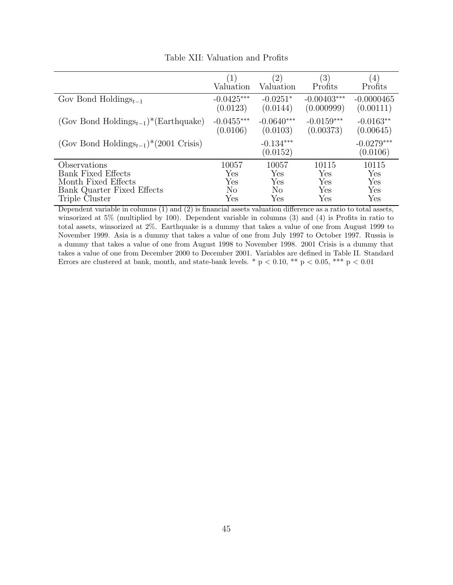|                                                   | (1)          | $\left( 2\right)$       | $\left(3\right)$ | $\left(4\right)$         |
|---------------------------------------------------|--------------|-------------------------|------------------|--------------------------|
|                                                   | Valuation    | Valuation               | Profits          | Profits                  |
| Gov Bond Holdings <sub><math>t-1</math></sub>     | $-0.0425***$ | $-0.0251*$              | $-0.00403***$    | $-0.0000465$             |
|                                                   | (0.0123)     | (0.0144)                | (0.000999)       | (0.00111)                |
| (Gov Bond Holdings <sub>t-1</sub> )*(Earthquake)  | $-0.0455***$ | $-0.0640***$            | $-0.0159***$     | $-0.0163**$              |
|                                                   | (0.0106)     | (0.0103)                | (0.00373)        | (0.00645)                |
| (Gov Bond Holdings <sub>t-1</sub> )*(2001 Crisis) |              | $-0.134***$<br>(0.0152) |                  | $-0.0279***$<br>(0.0106) |
| Observations                                      | 10057        | 10057                   | 10115            | 10115                    |
| <b>Bank Fixed Effects</b>                         | Yes          | Yes                     | Yes              | Yes                      |
| Month Fixed Effects                               | Yes          | Yes                     | Yes              | Yes                      |
| Bank Quarter Fixed Effects                        | No           | N <sub>o</sub>          | Yes              | Yes                      |
| Triple Cluster                                    | Yes          | Yes                     | Yes              | Yes                      |

Table XII: Valuation and Profits

Dependent variable in columns (1) and (2) is financial assets valuation difference as a ratio to total assets, winsorized at 5% (multiplied by 100). Dependent variable in columns (3) and (4) is Profits in ratio to total assets, winsorized at 2%. Earthquake is a dummy that takes a value of one from August 1999 to November 1999. Asia is a dummy that takes a value of one from July 1997 to October 1997. Russia is a dummy that takes a value of one from August 1998 to November 1998. 2001 Crisis is a dummy that takes a value of one from December 2000 to December 2001. Variables are defined in Table II. Standard Errors are clustered at bank, month, and state-bank levels. \*  $p < 0.10$ , \*\*  $p < 0.05$ , \*\*\*  $p < 0.01$